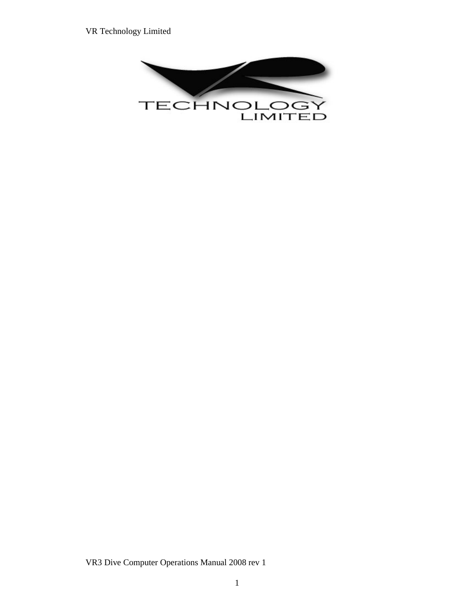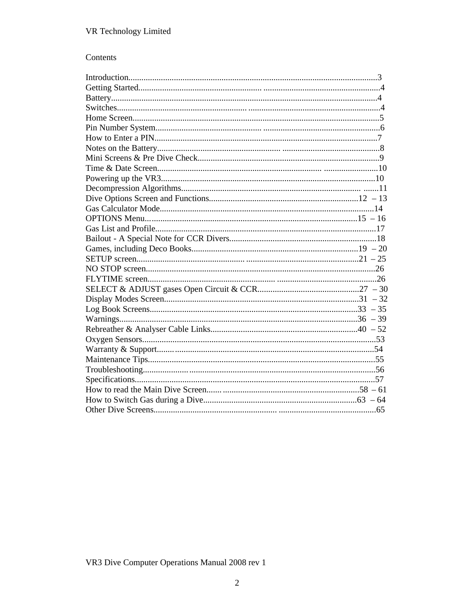# Contents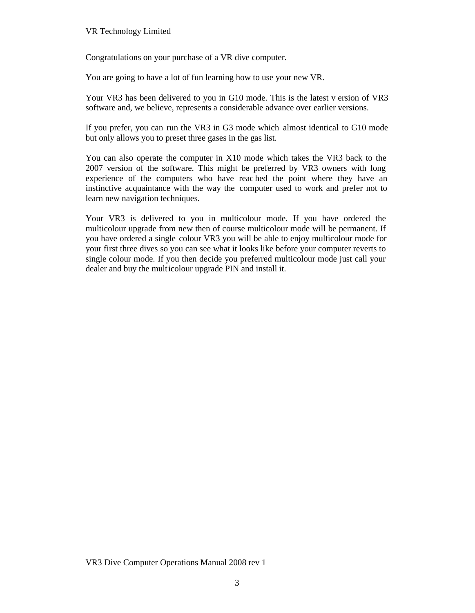Congratulations on your purchase of a VR dive computer.

You are going to have a lot of fun learning how to use your new VR.

Your VR3 has been delivered to you in G10 mode. This is the latest v ersion of VR3 software and, we believe, represents a considerable advance over earlier versions.

If you prefer, you can run the VR3 in G3 mode which almost identical to G10 mode but only allows you to preset three gases in the gas list.

You can also operate the computer in X10 mode which takes the VR3 back to the 2007 version of the software. This might be preferred by VR3 owners with long experience of the computers who have reac hed the point where they have an instinctive acquaintance with the way the computer used to work and prefer not to learn new navigation techniques.

Your VR3 is delivered to you in multicolour mode. If you have ordered the multicolour upgrade from new then of course multicolour mode will be permanent. If you have ordered a single colour VR3 you will be able to enjoy multicolour mode for your first three dives so you can see what it looks like before your computer reverts to single colour mode. If you then decide you preferred multicolour mode just call your dealer and buy the multicolour upgrade PIN and install it.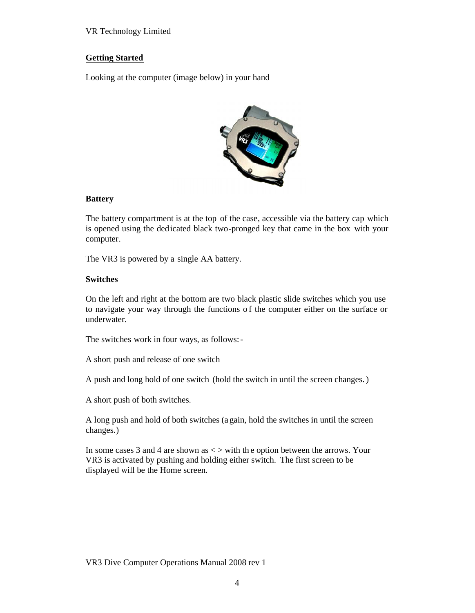### **Getting Started**

Looking at the computer (image below) in your hand



### **Battery**

The battery compartment is at the top of the case, accessible via the battery cap which is opened using the dedicated black two-pronged key that came in the box with your computer.

The VR3 is powered by a single AA battery.

### **Switches**

On the left and right at the bottom are two black plastic slide switches which you use to navigate your way through the functions o f the computer either on the surface or underwater.

The switches work in four ways, as follows:-

A short push and release of one switch

A push and long hold of one switch (hold the switch in until the screen changes.)

A short push of both switches.

A long push and hold of both switches (a gain, hold the switches in until the screen changes.)

In some cases 3 and 4 are shown as  $\langle \rangle$  with the option between the arrows. Your VR3 is activated by pushing and holding either switch. The first screen to be displayed will be the Home screen.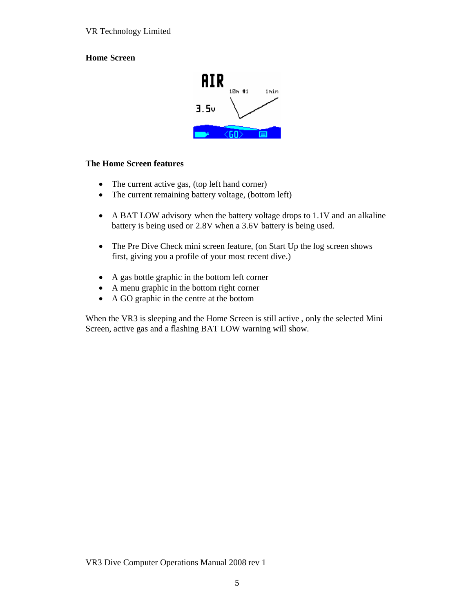## **Home Screen**



### **The Home Screen features**

- The current active gas, (top left hand corner)
- The current remaining battery voltage, (bottom left)
- A BAT LOW advisory when the battery voltage drops to 1.1V and an alkaline battery is being used or 2.8V when a 3.6V battery is being used.
- The Pre Dive Check mini screen feature, (on Start Up the log screen shows first, giving you a profile of your most recent dive.)
- A gas bottle graphic in the bottom left corner
- A menu graphic in the bottom right corner
- A GO graphic in the centre at the bottom

When the VR3 is sleeping and the Home Screen is still active , only the selected Mini Screen, active gas and a flashing BAT LOW warning will show.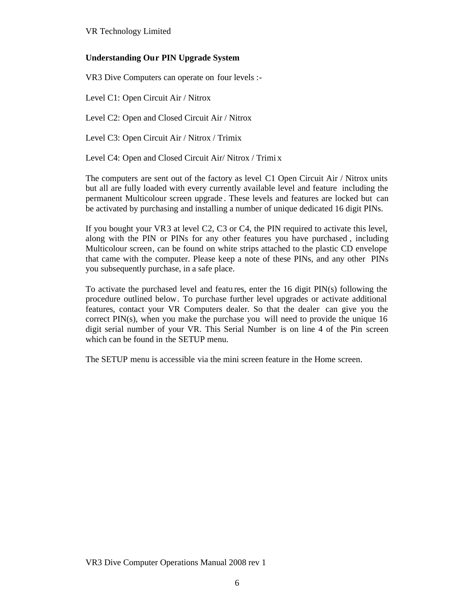## **Understanding Our PIN Upgrade System**

VR3 Dive Computers can operate on four levels :-

Level C1: Open Circuit Air / Nitrox

Level C2: Open and Closed Circuit Air / Nitrox

Level C3: Open Circuit Air / Nitrox / Trimix

Level C4: Open and Closed Circuit Air/ Nitrox / Trimi x

The computers are sent out of the factory as level C1 Open Circuit Air / Nitrox units but all are fully loaded with every currently available level and feature including the permanent Multicolour screen upgrade . These levels and features are locked but can be activated by purchasing and installing a number of unique dedicated 16 digit PINs.

If you bought your VR3 at level C2, C3 or C4, the PIN required to activate this level, along with the PIN or PINs for any other features you have purchased , including Multicolour screen, can be found on white strips attached to the plastic CD envelope that came with the computer. Please keep a note of these PINs, and any other PINs you subsequently purchase, in a safe place.

To activate the purchased level and featu res, enter the 16 digit PIN(s) following the procedure outlined below. To purchase further level upgrades or activate additional features, contact your VR Computers dealer. So that the dealer can give you the correct  $PIN(s)$ , when you make the purchase you will need to provide the unique 16 digit serial number of your VR. This Serial Number is on line 4 of the Pin screen which can be found in the SETUP menu.

The SETUP menu is accessible via the mini screen feature in the Home screen.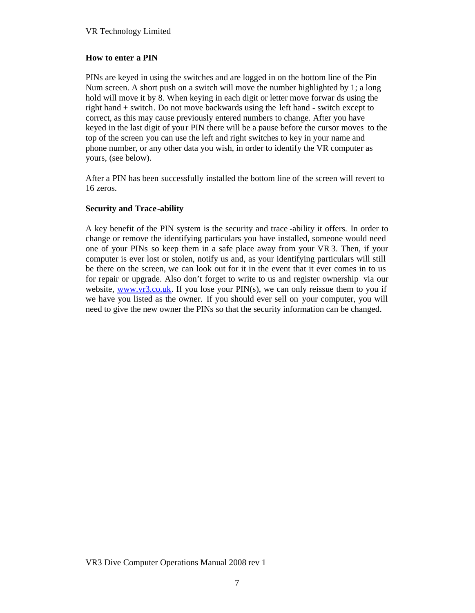### **How to enter a PIN**

PINs are keyed in using the switches and are logged in on the bottom line of the Pin Num screen. A short push on a switch will move the number highlighted by 1; a long hold will move it by 8. When keying in each digit or letter move forwar ds using the right hand + switch. Do not move backwards using the left hand - switch except to correct, as this may cause previously entered numbers to change. After you have keyed in the last digit of your PIN there will be a pause before the cursor moves to the top of the screen you can use the left and right switches to key in your name and phone number, or any other data you wish, in order to identify the VR computer as yours, (see below).

After a PIN has been successfully installed the bottom line of the screen will revert to 16 zeros.

### **Security and Trace-ability**

A key benefit of the PIN system is the security and trace -ability it offers. In order to change or remove the identifying particulars you have installed, someone would need one of your PINs so keep them in a safe place away from your VR 3. Then, if your computer is ever lost or stolen, notify us and, as your identifying particulars will still be there on the screen, we can look out for it in the event that it ever comes in to us for repair or upgrade. Also don't forget to write to us and register ownership via our website,  $www.vr3.co.uk$ . If you lose your PIN(s), we can only reissue them to you if we have you listed as the owner. If you should ever sell on your computer, you will need to give the new owner the PINs so that the security information can be changed.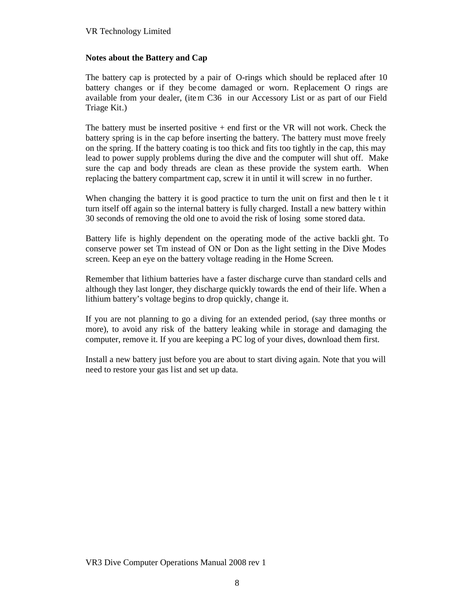### **Notes about the Battery and Cap**

The battery cap is protected by a pair of O-rings which should be replaced after 10 battery changes or if they become damaged or worn. Replacement O rings are available from your dealer, (item C36 in our Accessory List or as part of our Field Triage Kit.)

The battery must be inserted positive  $+$  end first or the VR will not work. Check the battery spring is in the cap before inserting the battery. The battery must move freely on the spring. If the battery coating is too thick and fits too tightly in the cap, this may lead to power supply problems during the dive and the computer will shut off. Make sure the cap and body threads are clean as these provide the system earth. When replacing the battery compartment cap, screw it in until it will screw in no further.

When changing the battery it is good practice to turn the unit on first and then le t it turn itself off again so the internal battery is fully charged. Install a new battery within 30 seconds of removing the old one to avoid the risk of losing some stored data.

Battery life is highly dependent on the operating mode of the active backli ght. To conserve power set Tm instead of ON or Don as the light setting in the Dive Modes screen. Keep an eye on the battery voltage reading in the Home Screen.

Remember that lithium batteries have a faster discharge curve than standard cells and although they last longer, they discharge quickly towards the end of their life. When a lithium battery's voltage begins to drop quickly, change it.

If you are not planning to go a diving for an extended period, (say three months or more), to avoid any risk of the battery leaking while in storage and damaging the computer, remove it. If you are keeping a PC log of your dives, download them first.

Install a new battery just before you are about to start diving again. Note that you will need to restore your gas list and set up data.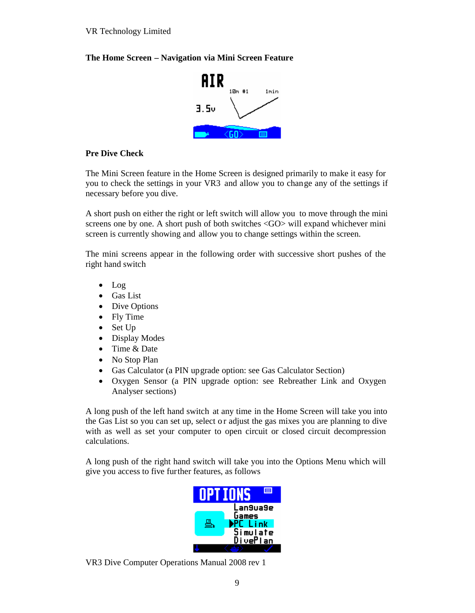### **The Home Screen – Navigation via Mini Screen Feature**



### **Pre Dive Check**

The Mini Screen feature in the Home Screen is designed primarily to make it easy for you to check the settings in your VR3 and allow you to change any of the settings if necessary before you dive.

A short push on either the right or left switch will allow you to move through the mini screens one by one. A short push of both switches <GO> will expand whichever mini screen is currently showing and allow you to change settings within the screen.

The mini screens appear in the following order with successive short pushes of the right hand switch

- Log
- Gas List
- Dive Options
- Fly Time
- Set Up
- Display Modes
- Time & Date
- No Stop Plan
- Gas Calculator (a PIN upgrade option: see Gas Calculator Section)
- Oxygen Sensor (a PIN upgrade option: see Rebreather Link and Oxygen Analyser sections)

A long push of the left hand switch at any time in the Home Screen will take you into the Gas List so you can set up, select o r adjust the gas mixes you are planning to dive with as well as set your computer to open circuit or closed circuit decompression calculations.

A long push of the right hand switch will take you into the Options Menu which will give you access to five further features, as follows



VR3 Dive Computer Operations Manual 2008 rev 1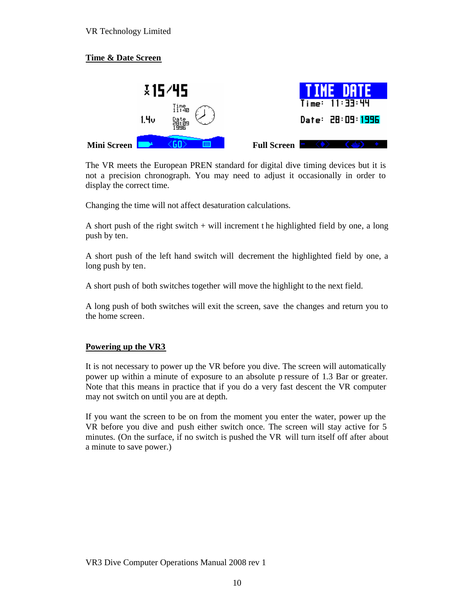# **Time & Date Screen**



The VR meets the European PREN standard for digital dive timing devices but it is not a precision chronograph. You may need to adjust it occasionally in order to display the correct time.

Changing the time will not affect desaturation calculations.

A short push of the right switch  $+$  will increment the highlighted field by one, a long push by ten.

A short push of the left hand switch will decrement the highlighted field by one, a long push by ten.

A short push of both switches together will move the highlight to the next field.

A long push of both switches will exit the screen, save the changes and return you to the home screen.

### **Powering up the VR3**

It is not necessary to power up the VR before you dive. The screen will automatically power up within a minute of exposure to an absolute p ressure of 1.3 Bar or greater. Note that this means in practice that if you do a very fast descent the VR computer may not switch on until you are at depth.

If you want the screen to be on from the moment you enter the water, power up the VR before you dive and push either switch once. The screen will stay active for 5 minutes. (On the surface, if no switch is pushed the VR will turn itself off after about a minute to save power.)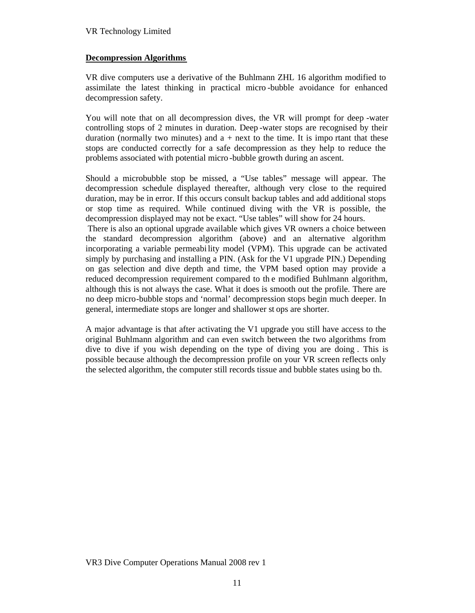### **Decompression Algorithms**

VR dive computers use a derivative of the Buhlmann ZHL 16 algorithm modified to assimilate the latest thinking in practical micro -bubble avoidance for enhanced decompression safety.

You will note that on all decompression dives, the VR will prompt for deep -water controlling stops of 2 minutes in duration. Deep -water stops are recognised by their duration (normally two minutes) and  $a + next$  to the time. It is important that these stops are conducted correctly for a safe decompression as they help to reduce the problems associated with potential micro -bubble growth during an ascent.

Should a microbubble stop be missed, a "Use tables" message will appear. The decompression schedule displayed thereafter, although very close to the required duration, may be in error. If this occurs consult backup tables and add additional stops or stop time as required. While continued diving with the VR is possible, the decompression displayed may not be exact. "Use tables" will show for 24 hours.

 There is also an optional upgrade available which gives VR owners a choice between the standard decompression algorithm (above) and an alternative algorithm incorporating a variable permeability model (VPM). This upgrade can be activated simply by purchasing and installing a PIN. (Ask for the V1 upgrade PIN.) Depending on gas selection and dive depth and time, the VPM based option may provide a reduced decompression requirement compared to th e modified Buhlmann algorithm, although this is not always the case. What it does is smooth out the profile. There are no deep micro-bubble stops and 'normal' decompression stops begin much deeper. In general, intermediate stops are longer and shallower st ops are shorter.

A major advantage is that after activating the V1 upgrade you still have access to the original Buhlmann algorithm and can even switch between the two algorithms from dive to dive if you wish depending on the type of diving you are doing . This is possible because although the decompression profile on your VR screen reflects only the selected algorithm, the computer still records tissue and bubble states using bo th.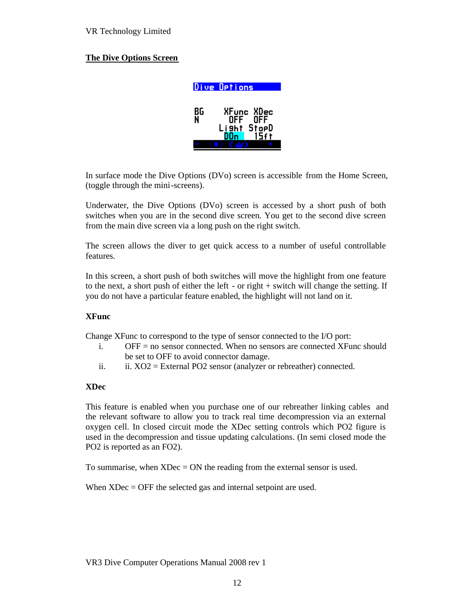### **The Dive Options Screen**

|         | Dive Options                                    |  |
|---------|-------------------------------------------------|--|
| BG<br>N | XFunc XDec<br>ÖFF<br>0FF<br>Lisht StopD<br>15ft |  |

In surface mode the Dive Options (DVo) screen is accessible from the Home Screen, (toggle through the mini-screens).

Underwater, the Dive Options (DVo) screen is accessed by a short push of both switches when you are in the second dive screen. You get to the second dive screen from the main dive screen via a long push on the right switch.

The screen allows the diver to get quick access to a number of useful controllable features.

In this screen, a short push of both switches will move the highlight from one feature to the next, a short push of either the left - or right + switch will change the setting. If you do not have a particular feature enabled, the highlight will not land on it.

#### **XFunc**

Change XFunc to correspond to the type of sensor connected to the I/O port:

- i. OFF = no sensor connected. When no sensors are connected XFunc should be set to OFF to avoid connector damage.
- ii. ii.  $XO2 =$  External PO2 sensor (analyzer or rebreather) connected.

#### **XDec**

This feature is enabled when you purchase one of our rebreather linking cables and the relevant software to allow you to track real time decompression via an external oxygen cell. In closed circuit mode the XDec setting controls which PO2 figure is used in the decompression and tissue updating calculations. (In semi closed mode the PO2 is reported as an FO2).

To summarise, when  $XDec = ON$  the reading from the external sensor is used.

When XDec = OFF the selected gas and internal setpoint are used.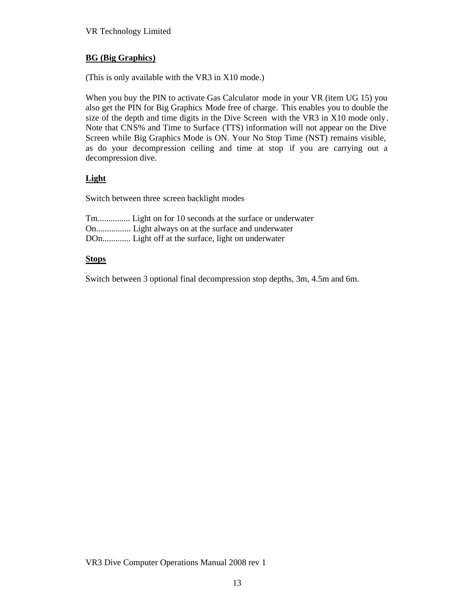## **BG (Big Graphics)**

(This is only available with the VR3 in X10 mode.)

When you buy the PIN to activate Gas Calculator mode in your VR (item UG 15) you also get the PIN for Big Graphics Mode free of charge. This enables you to double the size of the depth and time digits in the Dive Screen with the VR3 in X10 mode only. Note that CNS% and Time to Surface (TTS) information will not appear on the Dive Screen while Big Graphics Mode is ON. Your No Stop Time (NST) remains visible, as do your decompression ceiling and time at stop if you are carrying out a decompression dive.

## **Light**

Switch between three screen backlight modes

| Tm Light on for 10 seconds at the surface or underwater |
|---------------------------------------------------------|
|                                                         |
| DOn Light off at the surface, light on underwater       |

### **Stops**

Switch between 3 optional final decompression stop depths, 3m, 4.5m and 6m.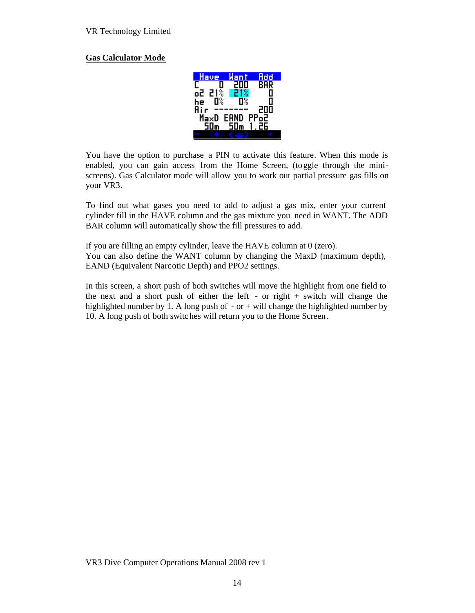### **Gas Calculator Mode**



You have the option to purchase a PIN to activate this feature. When this mode is enabled, you can gain access from the Home Screen, (toggle through the miniscreens). Gas Calculator mode will allow you to work out partial pressure gas fills on your VR3.

To find out what gases you need to add to adjust a gas mix, enter your current cylinder fill in the HAVE column and the gas mixture you need in WANT. The ADD BAR column will automatically show the fill pressures to add.

If you are filling an empty cylinder, leave the HAVE column at 0 (zero). You can also define the WANT column by changing the MaxD (maximum depth), EAND (Equivalent Narcotic Depth) and PPO2 settings.

In this screen, a short push of both switches will move the highlight from one field to the next and a short push of either the left - or right + switch will change the highlighted number by 1. A long push of  $-$  or  $+$  will change the highlighted number by 10. A long push of both switches will return you to the Home Screen .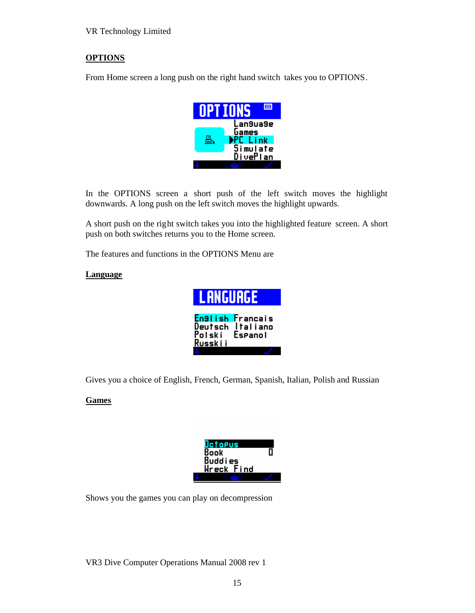# **OPTIONS**

From Home screen a long push on the right hand switch takes you to OPTIONS.



In the OPTIONS screen a short push of the left switch moves the highlight downwards. A long push on the left switch moves the highlight upwards.

A short push on the right switch takes you into the highlighted feature screen. A short push on both switches returns you to the Home screen.

The features and functions in the OPTIONS Menu are

### **Language**

| <b>LANGUAGE</b>              |                                                |
|------------------------------|------------------------------------------------|
| Deutsch<br>Polski<br>Russkii | En9lish Francais<br><b>Italiano</b><br>Espanol |
|                              |                                                |

Gives you a choice of English, French, German, Spanish, Italian, Polish and Russian

### **Games**

| Octopus       |  |
|---------------|--|
| <b>Book</b>   |  |
| Buddies       |  |
| Find<br>Wreck |  |
|               |  |

Shows you the games you can play on decompression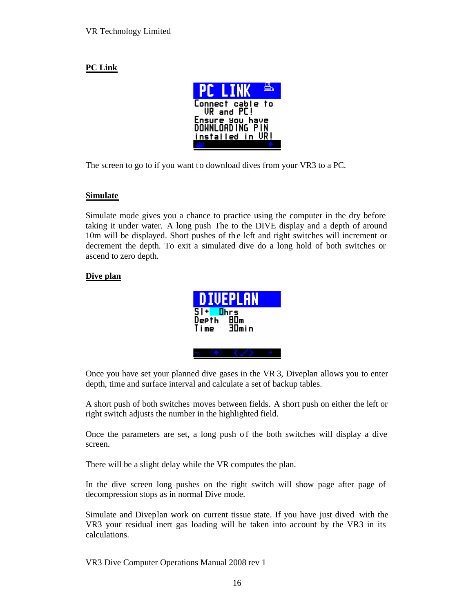# **PC Link**



The screen to go to if you want to download dives from your VR3 to a PC.

## **Simulate**

Simulate mode gives you a chance to practice using the computer in the dry before taking it under water. A long push The to the DIVE display and a depth of around 10m will be displayed. Short pushes of the left and right switches will increment or decrement the depth. To exit a simulated dive do a long hold of both switches or ascend to zero depth.

## **Dive plan**

|                        | <b>DIVEPLAN</b> |  |
|------------------------|-----------------|--|
| $S1$ + $Ihrs$<br>Depth | 80m             |  |
|                        | Time 30min      |  |
|                        |                 |  |

Once you have set your planned dive gases in the VR 3, Diveplan allows you to enter depth, time and surface interval and calculate a set of backup tables.

A short push of both switches moves between fields. A short push on either the left or right switch adjusts the number in the highlighted field.

Once the parameters are set, a long push o f the both switches will display a dive screen.

There will be a slight delay while the VR computes the plan.

In the dive screen long pushes on the right switch will show page after page of decompression stops as in normal Dive mode.

Simulate and Diveplan work on current tissue state. If you have just dived with the VR3 your residual inert gas loading will be taken into account by the VR3 in its calculations.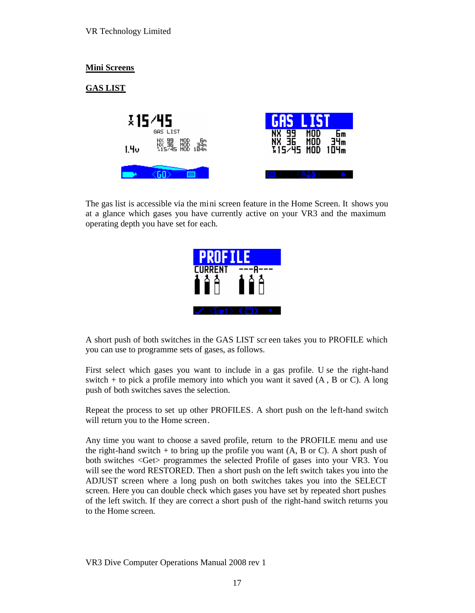## **Mini Screens**

# **GAS LIST**



The gas list is accessible via the mini screen feature in the Home Screen. It shows you at a glance which gases you have currently active on your VR3 and the maximum operating depth you have set for each.

| <b>PROFILE</b> |     |
|----------------|-----|
| <b>CURRENT</b> |     |
| $\blacksquare$ | IIP |
|                |     |

A short push of both switches in the GAS LIST scr een takes you to PROFILE which you can use to programme sets of gases, as follows.

First select which gases you want to include in a gas profile. U se the right-hand switch + to pick a profile memory into which you want it saved (A , B or C). A long push of both switches saves the selection.

Repeat the process to set up other PROFILES. A short push on the left-hand switch will return you to the Home screen.

Any time you want to choose a saved profile, return to the PROFILE menu and use the right-hand switch  $+$  to bring up the profile you want (A, B or C). A short push of both switches <Get> programmes the selected Profile of gases into your VR3. You will see the word RESTORED. Then a short push on the left switch takes you into the ADJUST screen where a long push on both switches takes you into the SELECT screen. Here you can double check which gases you have set by repeated short pushes of the left switch. If they are correct a short push of the right-hand switch returns you to the Home screen.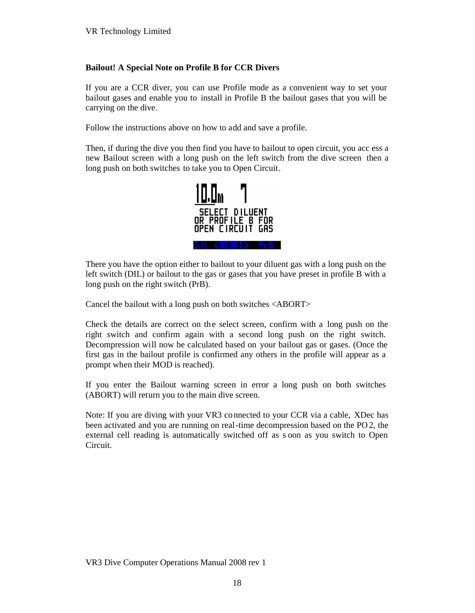### **Bailout! A Special Note on Profile B for CCR Divers**

If you are a CCR diver, you can use Profile mode as a convenient way to set your bailout gases and enable you to install in Profile B the bailout gases that you will be carrying on the dive.

Follow the instructions above on how to add and save a profile.

Then, if during the dive you then find you have to bailout to open circuit, you acc ess a new Bailout screen with a long push on the left switch from the dive screen then a long push on both switches to take you to Open Circuit.



There you have the option either to bailout to your diluent gas with a long push on the left switch (DIL) or bailout to the gas or gases that you have preset in profile B with a long push on the right switch (PrB).

Cancel the bailout with a long push on both switches <ABORT>

Check the details are correct on the select screen, confirm with a long push on the right switch and confirm again with a second long push on the right switch. Decompression will now be calculated based on your bailout gas or gases. (Once the first gas in the bailout profile is confirmed any others in the profile will appear as a prompt when their MOD is reached).

If you enter the Bailout warning screen in error a long push on both switches (ABORT) will return you to the main dive screen.

Note: If you are diving with your VR3 connected to your CCR via a cable, XDec has been activated and you are running on real-time decompression based on the PO2, the external cell reading is automatically switched off as s oon as you switch to Open Circuit.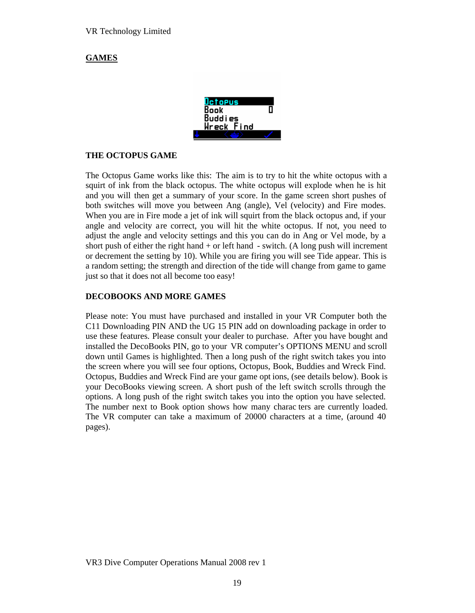## **GAMES**

| Octopus    |  |
|------------|--|
| Book       |  |
| Buddies    |  |
| Wreck Find |  |
|            |  |

#### **THE OCTOPUS GAME**

The Octopus Game works like this: The aim is to try to hit the white octopus with a squirt of ink from the black octopus. The white octopus will explode when he is hit and you will then get a summary of your score. In the game screen short pushes of both switches will move you between Ang (angle), Vel (velocity) and Fire modes. When you are in Fire mode a jet of ink will squirt from the black octopus and, if your angle and velocity are correct, you will hit the white octopus. If not, you need to adjust the angle and velocity settings and this you can do in Ang or Vel mode, by a short push of either the right hand  $+$  or left hand  $-$  switch. (A long push will increment or decrement the setting by 10). While you are firing you will see Tide appear. This is a random setting; the strength and direction of the tide will change from game to game just so that it does not all become too easy!

#### **DECOBOOKS AND MORE GAMES**

Please note: You must have purchased and installed in your VR Computer both the C11 Downloading PIN AND the UG 15 PIN add on downloading package in order to use these features. Please consult your dealer to purchase. After you have bought and installed the DecoBooks PIN, go to your VR computer's OPTIONS MENU and scroll down until Games is highlighted. Then a long push of the right switch takes you into the screen where you will see four options, Octopus, Book, Buddies and Wreck Find. Octopus, Buddies and Wreck Find are your game opt ions, (see details below). Book is your DecoBooks viewing screen. A short push of the left switch scrolls through the options. A long push of the right switch takes you into the option you have selected. The number next to Book option shows how many charac ters are currently loaded. The VR computer can take a maximum of 20000 characters at a time, (around 40 pages).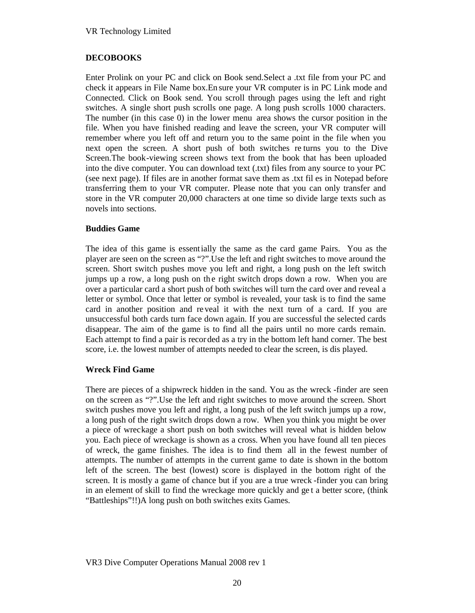## **DECOBOOKS**

Enter Prolink on your PC and click on Book send.Select a .txt file from your PC and check it appears in File Name box.En sure your VR computer is in PC Link mode and Connected. Click on Book send. You scroll through pages using the left and right switches. A single short push scrolls one page. A long push scrolls 1000 characters. The number (in this case 0) in the lower menu area shows the cursor position in the file. When you have finished reading and leave the screen, your VR computer will remember where you left off and return you to the same point in the file when you next open the screen. A short push of both switches re turns you to the Dive Screen.The book-viewing screen shows text from the book that has been uploaded into the dive computer. You can download text (.txt) files from any source to your PC (see next page). If files are in another format save them as .txt fil es in Notepad before transferring them to your VR computer. Please note that you can only transfer and store in the VR computer 20,000 characters at one time so divide large texts such as novels into sections.

### **Buddies Game**

The idea of this game is essentially the same as the card game Pairs. You as the player are seen on the screen as "?".Use the left and right switches to move around the screen. Short switch pushes move you left and right, a long push on the left switch jumps up a row, a long push on the right switch drops down a row. When you are over a particular card a short push of both switches will turn the card over and reveal a letter or symbol. Once that letter or symbol is revealed, your task is to find the same card in another position and re veal it with the next turn of a card. If you are unsuccessful both cards turn face down again. If you are successful the selected cards disappear. The aim of the game is to find all the pairs until no more cards remain. Each attempt to find a pair is recor ded as a try in the bottom left hand corner. The best score, i.e. the lowest number of attempts needed to clear the screen, is dis played.

### **Wreck Find Game**

There are pieces of a shipwreck hidden in the sand. You as the wreck -finder are seen on the screen as "?".Use the left and right switches to move around the screen. Short switch pushes move you left and right, a long push of the left switch jumps up a row, a long push of the right switch drops down a row. When you think you might be over a piece of wreckage a short push on both switches will reveal what is hidden below you. Each piece of wreckage is shown as a cross. When you have found all ten pieces of wreck, the game finishes. The idea is to find them all in the fewest number of attempts. The number of attempts in the current game to date is shown in the bottom left of the screen. The best (lowest) score is displayed in the bottom right of the screen. It is mostly a game of chance but if you are a true wreck -finder you can bring in an element of skill to find the wreckage more quickly and ge t a better score, (think "Battleships"!!)A long push on both switches exits Games.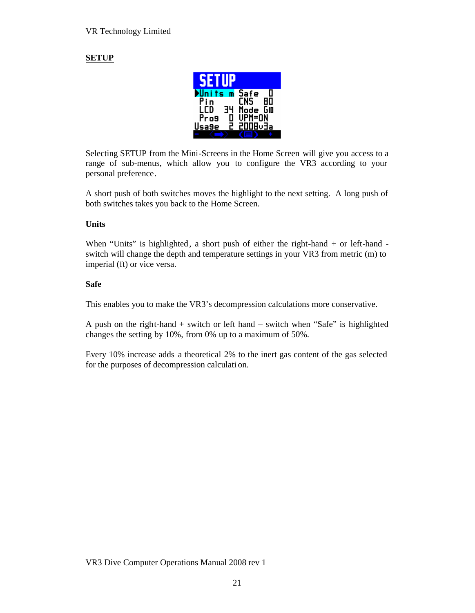# **SETUP**



Selecting SETUP from the Mini-Screens in the Home Screen will give you access to a range of sub-menus, which allow you to configure the VR3 according to your personal preference.

A short push of both switches moves the highlight to the next setting. A long push of both switches takes you back to the Home Screen.

### **Units**

When "Units" is highlighted, a short push of either the right-hand + or left-hand switch will change the depth and temperature settings in your VR3 from metric (m) to imperial (ft) or vice versa.

### **Safe**

This enables you to make the VR3's decompression calculations more conservative.

A push on the right-hand + switch or left hand – switch when "Safe" is highlighted changes the setting by 10%, from 0% up to a maximum of 50%.

Every 10% increase adds a theoretical 2% to the inert gas content of the gas selected for the purposes of decompression calculati on.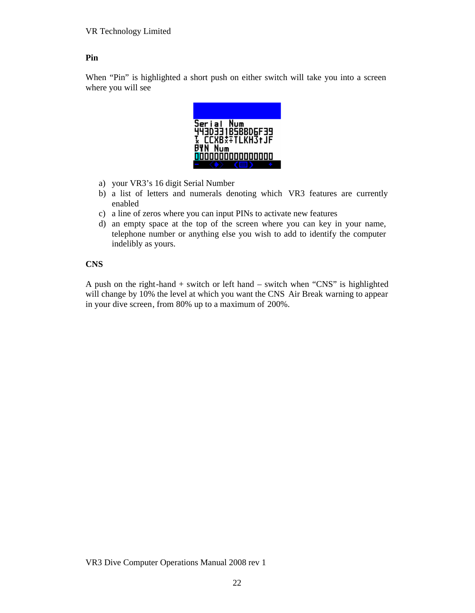# **Pin**

When "Pin" is highlighted a short push on either switch will take you into a screen where you will see



- a) your VR3's 16 digit Serial Number
- b) a list of letters and numerals denoting which VR3 features are currently enabled
- c) a line of zeros where you can input PINs to activate new features
- d) an empty space at the top of the screen where you can key in your name, telephone number or anything else you wish to add to identify the computer indelibly as yours.

### **CNS**

A push on the right-hand + switch or left hand – switch when "CNS" is highlighted will change by 10% the level at which you want the CNS Air Break warning to appear in your dive screen, from 80% up to a maximum of 200%.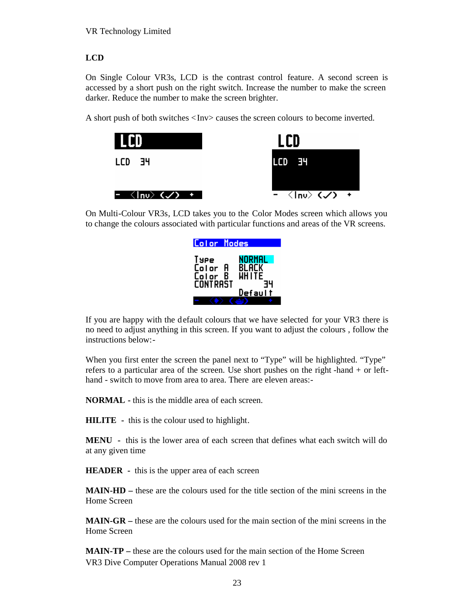# **LCD**

On Single Colour VR3s, LCD is the contrast control feature. A second screen is accessed by a short push on the right switch. Increase the number to make the screen darker. Reduce the number to make the screen brighter.

A short push of both switches <Inv> causes the screen colours to become inverted.



On Multi-Colour VR3s, LCD takes you to the Color Modes screen which allows you to change the colours associated with particular functions and areas of the VR screens.

| Color Modes                                         |                                                   |
|-----------------------------------------------------|---------------------------------------------------|
| Type<br>Color<br>A<br>B<br>Color<br><b>CONTRAST</b> | NORMAL<br><b>BLACK</b><br><b>WHITE</b><br>Default |
|                                                     |                                                   |

If you are happy with the default colours that we have selected for your VR3 there is no need to adjust anything in this screen. If you want to adjust the colours , follow the instructions below:-

When you first enter the screen the panel next to "Type" will be highlighted. "Type" refers to a particular area of the screen. Use short pushes on the right -hand + or lefthand - switch to move from area to area. There are eleven areas:-

**NORMAL -** this is the middle area of each screen.

**HILITE -** this is the colour used to highlight.

**MENU -** this is the lower area of each screen that defines what each switch will do at any given time

**HEADER -** this is the upper area of each screen

**MAIN-HD –** these are the colours used for the title section of the mini screens in the Home Screen

**MAIN-GR –** these are the colours used for the main section of the mini screens in the Home Screen

VR3 Dive Computer Operations Manual 2008 rev 1 **MAIN-TP** – these are the colours used for the main section of the Home Screen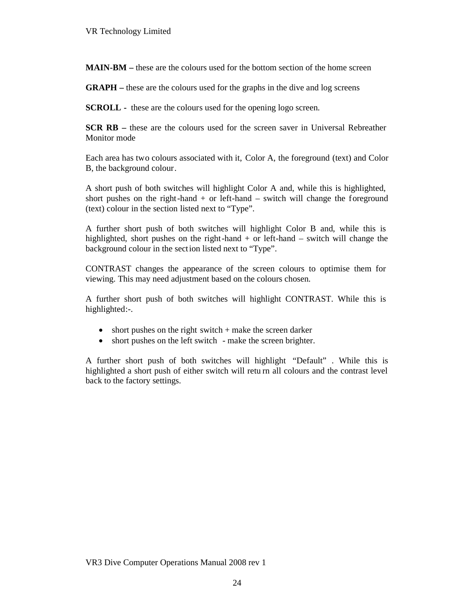**MAIN-BM –** these are the colours used for the bottom section of the home screen

**GRAPH –** these are the colours used for the graphs in the dive and log screens

**SCROLL** - these are the colours used for the opening logo screen.

**SCR RB** – these are the colours used for the screen saver in Universal Rebreather Monitor mode

Each area has two colours associated with it, Color A, the foreground (text) and Color B, the background colour.

A short push of both switches will highlight Color A and, while this is highlighted, short pushes on the right-hand  $+$  or left-hand  $-$  switch will change the foreground (text) colour in the section listed next to "Type".

A further short push of both switches will highlight Color B and, while this is highlighted, short pushes on the right-hand  $+$  or left-hand  $-$  switch will change the background colour in the section listed next to "Type".

CONTRAST changes the appearance of the screen colours to optimise them for viewing. This may need adjustment based on the colours chosen.

A further short push of both switches will highlight CONTRAST. While this is highlighted:-.

- $\bullet$  short pushes on the right switch + make the screen darker
- short pushes on the left switch make the screen brighter.

A further short push of both switches will highlight "Default" . While this is highlighted a short push of either switch will retu rn all colours and the contrast level back to the factory settings.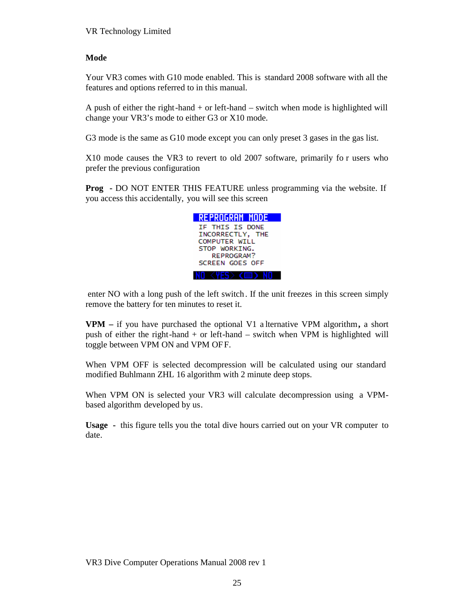### **Mode**

Your VR3 comes with G10 mode enabled. This is standard 2008 software with all the features and options referred to in this manual.

A push of either the right-hand  $+$  or left-hand  $-$  switch when mode is highlighted will change your VR3's mode to either G3 or X10 mode.

G3 mode is the same as G10 mode except you can only preset 3 gases in the gas list.

X10 mode causes the VR3 to revert to old 2007 software, primarily fo r users who prefer the previous configuration

**Prog -** DO NOT ENTER THIS FEATURE unless programming via the website. If you access this accidentally, you will see this screen



 enter NO with a long push of the left switch. If the unit freezes in this screen simply remove the battery for ten minutes to reset it.

**VPM –** if you have purchased the optional V1 a lternative VPM algorithm**,** a short push of either the right-hand + or left-hand – switch when VPM is highlighted will toggle between VPM ON and VPM OFF.

When VPM OFF is selected decompression will be calculated using our standard modified Buhlmann ZHL 16 algorithm with 2 minute deep stops.

When VPM ON is selected your VR3 will calculate decompression using a VPMbased algorithm developed by us.

**Usage -** this figure tells you the total dive hours carried out on your VR computer to date.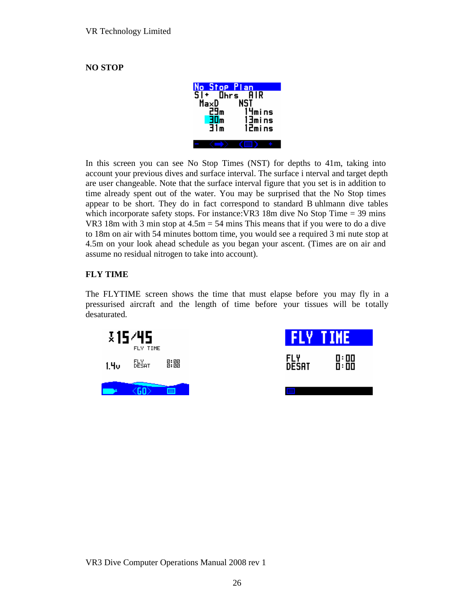## **NO STOP**

| No Stop Plan                      |                        |
|-----------------------------------|------------------------|
| $\overline{\mathsf{S}}$ i<br>MaxD | <b>Ohrs</b> AIR<br>NST |
| 29m                               | 14mins                 |
| 30m<br>31m                        | 13mins                 |
|                                   | 12mins                 |
|                                   |                        |

In this screen you can see No Stop Times (NST) for depths to 41m, taking into account your previous dives and surface interval. The surface i nterval and target depth are user changeable. Note that the surface interval figure that you set is in addition to time already spent out of the water. You may be surprised that the No Stop times appear to be short. They do in fact correspond to standard B uhlmann dive tables which incorporate safety stops. For instance: VR3 18m dive No Stop Time  $=$  39 mins VR3 18m with 3 min stop at 4.5m = 54 mins This means that if you were to do a dive to 18m on air with 54 minutes bottom time, you would see a required 3 mi nute stop at 4.5m on your look ahead schedule as you began your ascent. (Times are on air and assume no residual nitrogen to take into account).

# **FLY TIME**

The FLYTIME screen shows the time that must elapse before you may fly in a pressurised aircraft and the length of time before your tissues will be totally desaturated.

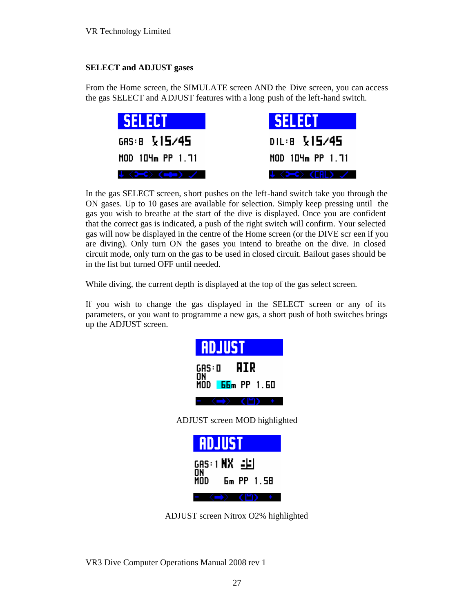### **SELECT and ADJUST gases**

From the Home screen, the SIMULATE screen AND the Dive screen, you can access the gas SELECT and ADJUST features with a long push of the left-hand switch.

| <b>SELECT</b>    | <b>ISELECT</b>   |  |
|------------------|------------------|--|
| GAS: B $V15/45$  | DIL:8 V15/45     |  |
| MOD 104m PP 1.71 | MOD 104m PP 1.71 |  |
| ↓〈Э━С〉(m@m) ./   | ↓ 〈>⊂〉(FAL) ノコ   |  |

In the gas SELECT screen, short pushes on the left-hand switch take you through the ON gases. Up to 10 gases are available for selection. Simply keep pressing until the gas you wish to breathe at the start of the dive is displayed. Once you are confident that the correct gas is indicated, a push of the right switch will confirm. Your selected gas will now be displayed in the centre of the Home screen (or the DIVE scr een if you are diving). Only turn ON the gases you intend to breathe on the dive. In closed circuit mode, only turn on the gas to be used in closed circuit. Bailout gases should be in the list but turned OFF until needed.

While diving, the current depth is displayed at the top of the gas select screen.

If you wish to change the gas displayed in the SELECT screen or any of its parameters, or you want to programme a new gas, a short push of both switches brings up the ADJUST screen.

| <b>RDJUST</b>                             |  |
|-------------------------------------------|--|
| GAS:O <b>AIR</b><br>ŌŃ<br>MÖD 66m PP 1.60 |  |
|                                           |  |
| ADJUST screen MOD highlighted             |  |
| <b>ADJUST</b>                             |  |
| GAS:1 <b>NX</b> = <b>e</b> i<br>ŌŃ        |  |
| Em PP 1.58<br>MODI                        |  |
|                                           |  |

ADJUST screen Nitrox O2% highlighted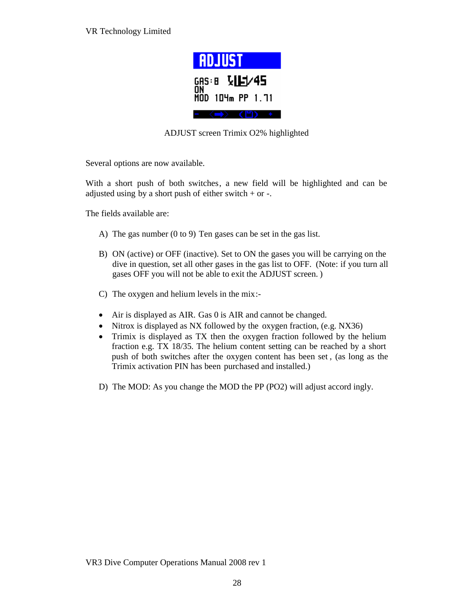

ADJUST screen Trimix O2% highlighted

Several options are now available.

With a short push of both switches, a new field will be highlighted and can be adjusted using by a short push of either switch  $+$  or  $-$ .

The fields available are:

- A) The gas number (0 to 9) Ten gases can be set in the gas list.
- B) ON (active) or OFF (inactive). Set to ON the gases you will be carrying on the dive in question, set all other gases in the gas list to OFF. (Note: if you turn all gases OFF you will not be able to exit the ADJUST screen. )
- C) The oxygen and helium levels in the mix:-
- Air is displayed as AIR. Gas 0 is AIR and cannot be changed.
- Nitrox is displayed as NX followed by the oxygen fraction, (e.g. NX36)
- Trimix is displayed as TX then the oxygen fraction followed by the helium fraction e.g. TX 18/35. The helium content setting can be reached by a short push of both switches after the oxygen content has been set , (as long as the Trimix activation PIN has been purchased and installed.)
- D) The MOD: As you change the MOD the PP (PO2) will adjust accord ingly.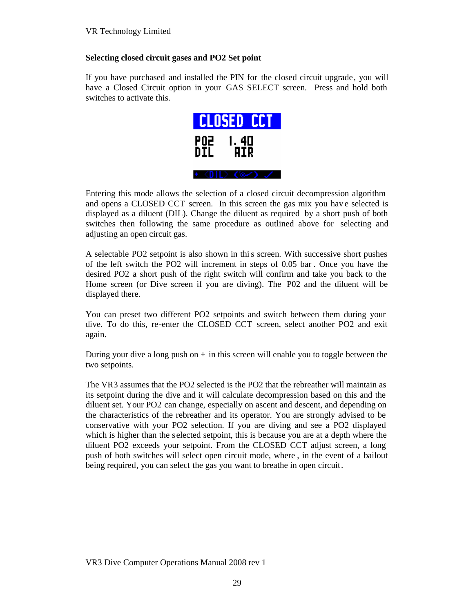## **Selecting closed circuit gases and PO2 Set point**

If you have purchased and installed the PIN for the closed circuit upgrade, you will have a Closed Circuit option in your GAS SELECT screen. Press and hold both switches to activate this.



Entering this mode allows the selection of a closed circuit decompression algorithm and opens a CLOSED CCT screen. In this screen the gas mix you have selected is displayed as a diluent (DIL). Change the diluent as required by a short push of both switches then following the same procedure as outlined above for selecting and adjusting an open circuit gas.

A selectable PO2 setpoint is also shown in this screen. With successive short pushes of the left switch the PO2 will increment in steps of 0.05 bar . Once you have the desired PO2 a short push of the right switch will confirm and take you back to the Home screen (or Dive screen if you are diving). The P02 and the diluent will be displayed there.

You can preset two different PO2 setpoints and switch between them during your dive. To do this, re-enter the CLOSED CCT screen, select another PO2 and exit again.

During your dive a long push on  $+$  in this screen will enable you to toggle between the two setpoints.

The VR3 assumes that the PO2 selected is the PO2 that the rebreather will maintain as its setpoint during the dive and it will calculate decompression based on this and the diluent set. Your PO2 can change, especially on ascent and descent, and depending on the characteristics of the rebreather and its operator. You are strongly advised to be conservative with your PO2 selection. If you are diving and see a PO2 displayed which is higher than the selected setpoint, this is because you are at a depth where the diluent PO2 exceeds your setpoint. From the CLOSED CCT adjust screen, a long push of both switches will select open circuit mode, where , in the event of a bailout being required, you can select the gas you want to breathe in open circuit.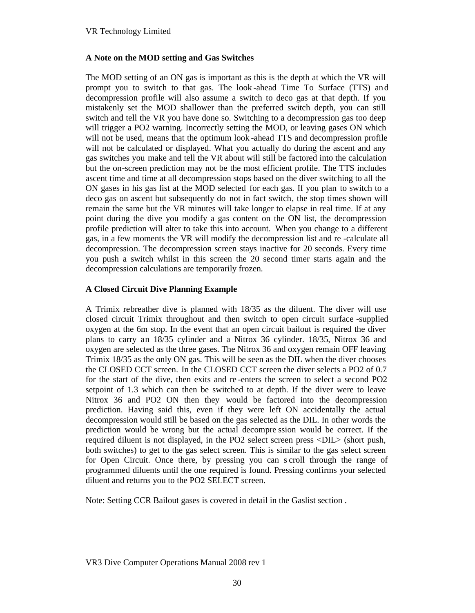## **A Note on the MOD setting and Gas Switches**

The MOD setting of an ON gas is important as this is the depth at which the VR will prompt you to switch to that gas. The look -ahead Time To Surface (TTS) and decompression profile will also assume a switch to deco gas at that depth. If you mistakenly set the MOD shallower than the preferred switch depth, you can still switch and tell the VR you have done so. Switching to a decompression gas too deep will trigger a PO2 warning. Incorrectly setting the MOD, or leaving gases ON which will not be used, means that the optimum look -ahead TTS and decompression profile will not be calculated or displayed. What you actually do during the ascent and any gas switches you make and tell the VR about will still be factored into the calculation but the on-screen prediction may not be the most efficient profile. The TTS includes ascent time and time at all decompression stops based on the diver switching to all the ON gases in his gas list at the MOD selected for each gas. If you plan to switch to a deco gas on ascent but subsequently do not in fact switch, the stop times shown will remain the same but the VR minutes will take longer to elapse in real time. If at any point during the dive you modify a gas content on the ON list, the decompression profile prediction will alter to take this into account. When you change to a different gas, in a few moments the VR will modify the decompression list and re -calculate all decompression. The decompression screen stays inactive for 20 seconds. Every time you push a switch whilst in this screen the 20 second timer starts again and the decompression calculations are temporarily frozen.

## **A Closed Circuit Dive Planning Example**

A Trimix rebreather dive is planned with 18/35 as the diluent. The diver will use closed circuit Trimix throughout and then switch to open circuit surface -supplied oxygen at the 6m stop. In the event that an open circuit bailout is required the diver plans to carry an 18/35 cylinder and a Nitrox 36 cylinder. 18/35, Nitrox 36 and oxygen are selected as the three gases. The Nitrox 36 and oxygen remain OFF leaving Trimix 18/35 as the only ON gas. This will be seen as the DIL when the diver chooses the CLOSED CCT screen. In the CLOSED CCT screen the diver selects a PO2 of 0.7 for the start of the dive, then exits and re -enters the screen to select a second PO2 setpoint of 1.3 which can then be switched to at depth. If the diver were to leave Nitrox 36 and PO2 ON then they would be factored into the decompression prediction. Having said this, even if they were left ON accidentally the actual decompression would still be based on the gas selected as the DIL. In other words the prediction would be wrong but the actual decompre ssion would be correct. If the required diluent is not displayed, in the PO2 select screen press <DIL> (short push, both switches) to get to the gas select screen. This is similar to the gas select screen for Open Circuit. Once there, by pressing you can s croll through the range of programmed diluents until the one required is found. Pressing confirms your selected diluent and returns you to the PO2 SELECT screen.

Note: Setting CCR Bailout gases is covered in detail in the Gaslist section .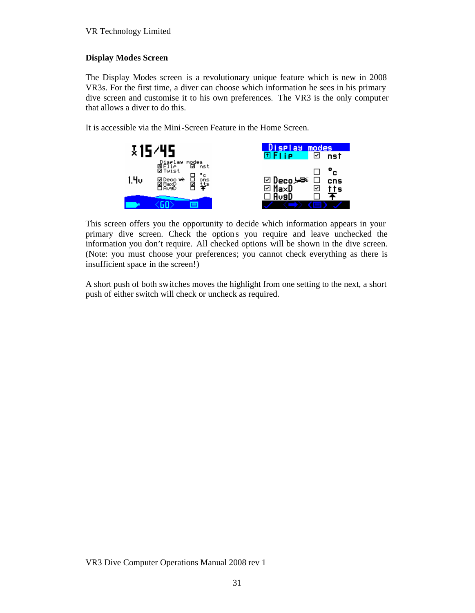## **Display Modes Screen**

The Display Modes screen is a revolutionary unique feature which is new in 2008 VR3s. For the first time, a diver can choose which information he sees in his primary dive screen and customise it to his own preferences. The VR3 is the only computer that allows a diver to do this.

It is accessible via the Mini-Screen Feature in the Home Screen.



This screen offers you the opportunity to decide which information appears in your primary dive screen. Check the option s you require and leave unchecked the information you don't require. All checked options will be shown in the dive screen. (Note: you must choose your preferences; you cannot check everything as there is insufficient space in the screen!)

A short push of both switches moves the highlight from one setting to the next, a short push of either switch will check or uncheck as required.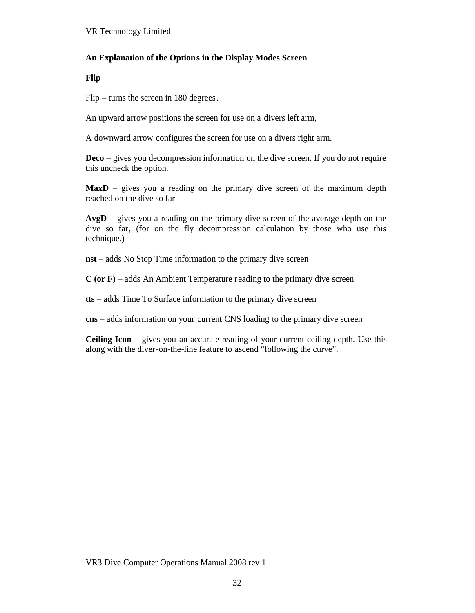### **An Explanation of the Options in the Display Modes Screen**

**Flip**

Flip – turns the screen in 180 degrees.

An upward arrow positions the screen for use on a divers left arm,

A downward arrow configures the screen for use on a divers right arm.

**Deco** – gives you decompression information on the dive screen. If you do not require this uncheck the option.

**MaxD** – gives you a reading on the primary dive screen of the maximum depth reached on the dive so far

**AvgD** – gives you a reading on the primary dive screen of the average depth on the dive so far, (for on the fly decompression calculation by those who use this technique.)

**nst** – adds No Stop Time information to the primary dive screen

**C (or F)** – adds An Ambient Temperature reading to the primary dive screen

**tts** – adds Time To Surface information to the primary dive screen

**cns** – adds information on your current CNS loading to the primary dive screen

**Ceiling Icon –** gives you an accurate reading of your current ceiling depth. Use this along with the diver-on-the-line feature to ascend "following the curve".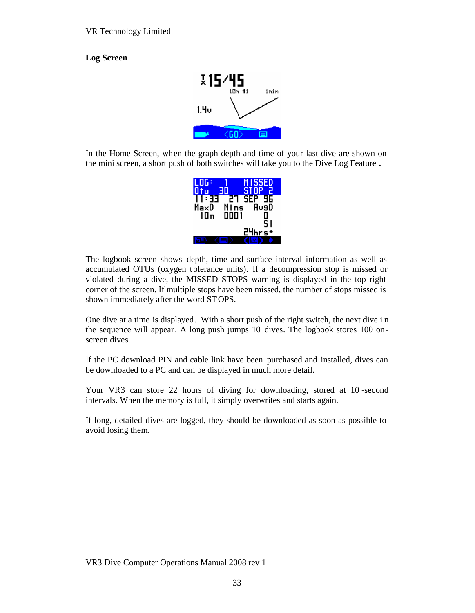# **Log Screen**



In the Home Screen, when the graph depth and time of your last dive are shown on the mini screen, a short push of both switches will take you to the Dive Log Feature **.**

| LOG:         | <b>MISSED</b><br>E<br><b>STOP</b><br>30 |
|--------------|-----------------------------------------|
| - 33<br>Ma×D | SEP<br>96<br>27<br>Av9D<br>Mins         |
| 1 0 m        | äöö i<br>Ŝ۱                             |
|              | nrs+<br>ᆲ                               |
|              |                                         |

The logbook screen shows depth, time and surface interval information as well as accumulated OTUs (oxygen tolerance units). If a decompression stop is missed or violated during a dive, the MISSED STOPS warning is displayed in the top right corner of the screen. If multiple stops have been missed, the number of stops missed is shown immediately after the word STOPS.

One dive at a time is displayed. With a short push of the right switch, the next dive i n the sequence will appear. A long push jumps 10 dives. The logbook stores 100 onscreen dives.

If the PC download PIN and cable link have been purchased and installed, dives can be downloaded to a PC and can be displayed in much more detail.

Your VR3 can store 22 hours of diving for downloading, stored at 10-second intervals. When the memory is full, it simply overwrites and starts again.

If long, detailed dives are logged, they should be downloaded as soon as possible to avoid losing them.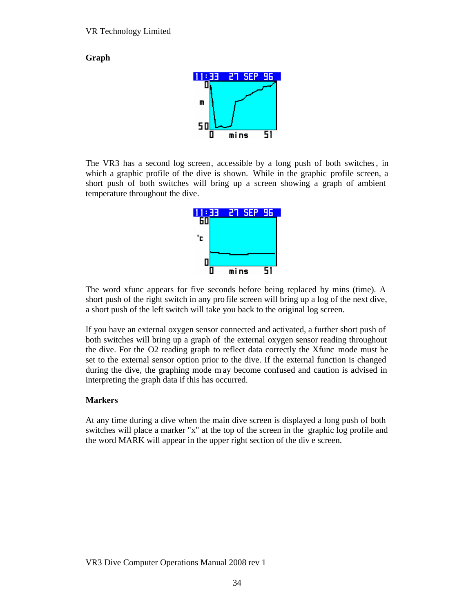**Graph**



The VR3 has a second log screen, accessible by a long push of both switches, in which a graphic profile of the dive is shown. While in the graphic profile screen, a short push of both switches will bring up a screen showing a graph of ambient temperature throughout the dive.



The word xfunc appears for five seconds before being replaced by mins (time). A short push of the right switch in any pro file screen will bring up a log of the next dive, a short push of the left switch will take you back to the original log screen.

If you have an external oxygen sensor connected and activated, a further short push of both switches will bring up a graph of the external oxygen sensor reading throughout the dive. For the O2 reading graph to reflect data correctly the Xfunc mode must be set to the external sensor option prior to the dive. If the external function is changed during the dive, the graphing mode may become confused and caution is advised in interpreting the graph data if this has occurred.

#### **Markers**

At any time during a dive when the main dive screen is displayed a long push of both switches will place a marker "x" at the top of the screen in the graphic log profile and the word MARK will appear in the upper right section of the div e screen.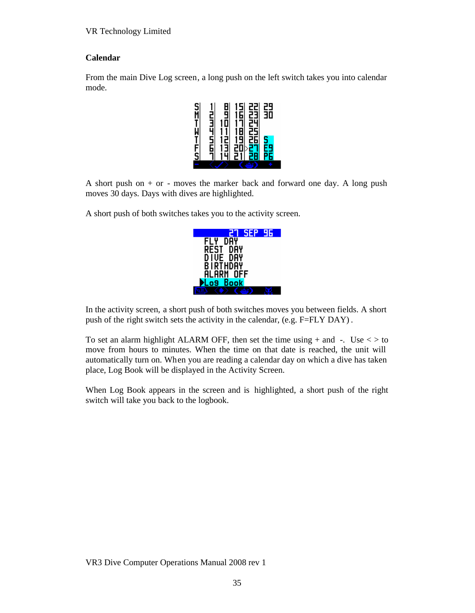## **Calendar**

From the main Dive Log screen, a long push on the left switch takes you into calendar mode.



A short push on  $+$  or  $-$  moves the marker back and forward one day. A long push moves 30 days. Days with dives are highlighted.

A short push of both switches takes you to the activity screen.

| <b>SEP</b><br>ĦН    |
|---------------------|
| AΥ                  |
| REST<br>DAY         |
| DŸ<br>DIVE          |
| BIRTHDAY            |
| <b>ALARM</b><br>OFF |
| <b>Book</b><br>n9   |
|                     |

In the activity screen, a short push of both switches moves you between fields. A short push of the right switch sets the activity in the calendar, (e.g. F=FLY DAY) .

To set an alarm highlight ALARM OFF, then set the time using  $+$  and  $-$ . Use  $\lt$   $>$  to move from hours to minutes. When the time on that date is reached, the unit will automatically turn on. When you are reading a calendar day on which a dive has taken place, Log Book will be displayed in the Activity Screen.

When Log Book appears in the screen and is highlighted, a short push of the right switch will take you back to the logbook.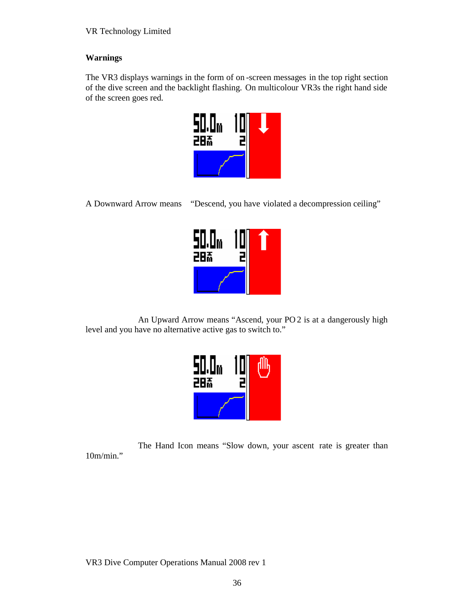## **Warnings**

The VR3 displays warnings in the form of on -screen messages in the top right section of the dive screen and the backlight flashing. On multicolour VR3s the right hand side of the screen goes red.



A Downward Arrow means "Descend, you have violated a decompression ceiling"



An Upward Arrow means "Ascend, your PO 2 is at a dangerously high level and you have no alternative active gas to switch to."



The Hand Icon means "Slow down, your ascent rate is greater than 10m/min."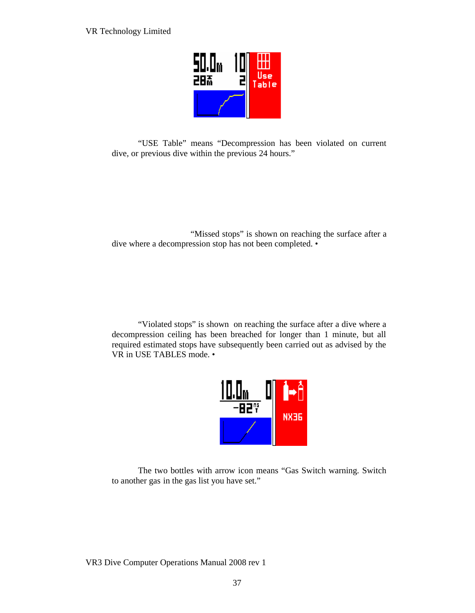

"USE Table" means "Decompression has been violated on current dive, or previous dive within the previous 24 hours."

"Missed stops" is shown on reaching the surface after a dive where a decompression stop has not been completed. •

"Violated stops" is shown on reaching the surface after a dive where a decompression ceiling has been breached for longer than 1 minute, but all required estimated stops have subsequently been carried out as advised by the VR in USE TABLES mode. •



The two bottles with arrow icon means "Gas Switch warning. Switch to another gas in the gas list you have set."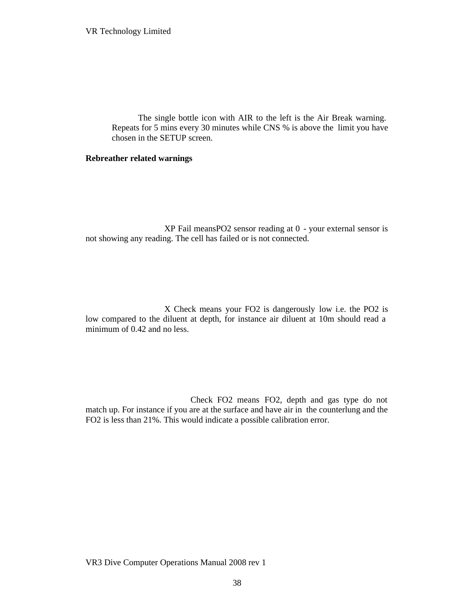The single bottle icon with AIR to the left is the Air Break warning. Repeats for 5 mins every 30 minutes while CNS % is above the limit you have chosen in the SETUP screen.

#### **Rebreather related warnings**

XP Fail meansPO2 sensor reading at 0 - your external sensor is not showing any reading. The cell has failed or is not connected.

X Check means your FO2 is dangerously low i.e. the PO2 is low compared to the diluent at depth, for instance air diluent at 10m should read a minimum of 0.42 and no less.

Check FO2 means FO2, depth and gas type do not match up. For instance if you are at the surface and have air in the counterlung and the FO2 is less than 21%. This would indicate a possible calibration error.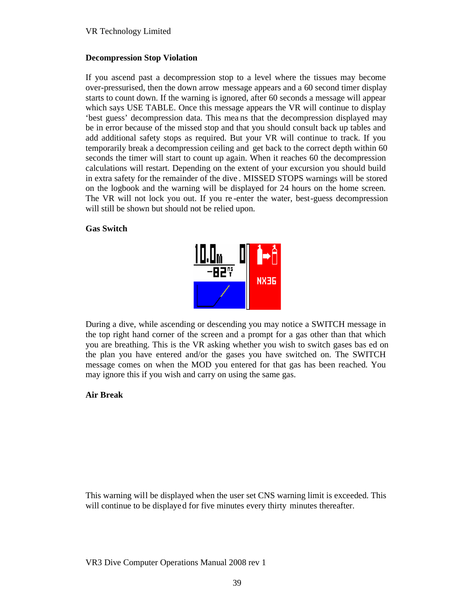### **Decompression Stop Violation**

If you ascend past a decompression stop to a level where the tissues may become over-pressurised, then the down arrow message appears and a 60 second timer display starts to count down. If the warning is ignored, after 60 seconds a message will appear which says USE TABLE. Once this message appears the VR will continue to display 'best guess' decompression data. This mea ns that the decompression displayed may be in error because of the missed stop and that you should consult back up tables and add additional safety stops as required. But your VR will continue to track. If you temporarily break a decompression ceiling and get back to the correct depth within 60 seconds the timer will start to count up again. When it reaches 60 the decompression calculations will restart. Depending on the extent of your excursion you should build in extra safety for the remainder of the dive . MISSED STOPS warnings will be stored on the logbook and the warning will be displayed for 24 hours on the home screen. The VR will not lock you out. If you re -enter the water, best-guess decompression will still be shown but should not be relied upon.

### **Gas Switch**



During a dive, while ascending or descending you may notice a SWITCH message in the top right hand corner of the screen and a prompt for a gas other than that which you are breathing. This is the VR asking whether you wish to switch gases bas ed on the plan you have entered and/or the gases you have switched on. The SWITCH message comes on when the MOD you entered for that gas has been reached. You may ignore this if you wish and carry on using the same gas.

#### **Air Break**

This warning will be displayed when the user set CNS warning limit is exceeded. This will continue to be displayed for five minutes every thirty minutes thereafter.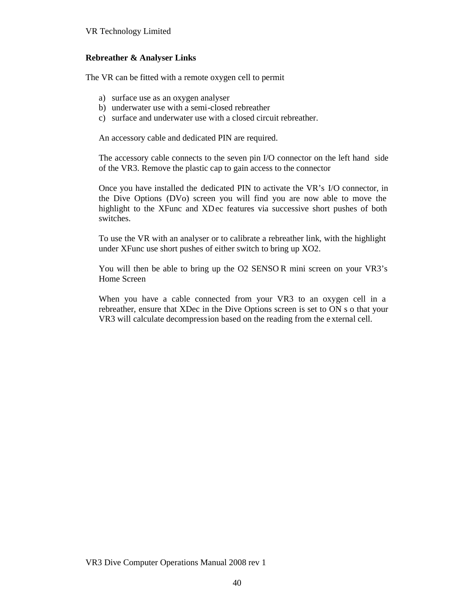### **Rebreather & Analyser Links**

The VR can be fitted with a remote oxygen cell to permit

- a) surface use as an oxygen analyser
- b) underwater use with a semi-closed rebreather
- c) surface and underwater use with a closed circuit rebreather.

An accessory cable and dedicated PIN are required.

The accessory cable connects to the seven pin I/O connector on the left hand side of the VR3. Remove the plastic cap to gain access to the connector

Once you have installed the dedicated PIN to activate the VR's I/O connector, in the Dive Options (DVo) screen you will find you are now able to move the highlight to the XFunc and XDec features via successive short pushes of both switches.

To use the VR with an analyser or to calibrate a rebreather link, with the highlight under XFunc use short pushes of either switch to bring up XO2.

You will then be able to bring up the O2 SENSO R mini screen on your VR3's Home Screen

When you have a cable connected from your VR3 to an oxygen cell in a rebreather, ensure that XDec in the Dive Options screen is set to ON s o that your VR3 will calculate decompression based on the reading from the e xternal cell.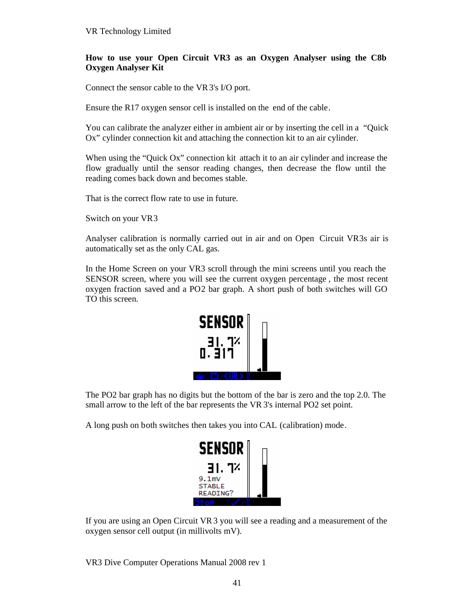### **How to use your Open Circuit VR3 as an Oxygen Analyser using the C8b Oxygen Analyser Kit**

Connect the sensor cable to the VR3's I/O port.

Ensure the R17 oxygen sensor cell is installed on the end of the cable.

You can calibrate the analyzer either in ambient air or by inserting the cell in a "Quick Ox" cylinder connection kit and attaching the connection kit to an air cylinder.

When using the "Quick Ox" connection kit attach it to an air cylinder and increase the flow gradually until the sensor reading changes, then decrease the flow until the reading comes back down and becomes stable.

That is the correct flow rate to use in future.

Switch on your VR3

Analyser calibration is normally carried out in air and on Open Circuit VR3s air is automatically set as the only CAL gas.

In the Home Screen on your VR3 scroll through the mini screens until you reach the SENSOR screen, where you will see the current oxygen percentage , the most recent oxygen fraction saved and a PO2 bar graph. A short push of both switches will GO TO this screen.



The PO2 bar graph has no digits but the bottom of the bar is zero and the top 2.0. The small arrow to the left of the bar represents the VR 3's internal PO2 set point.

A long push on both switches then takes you into CAL (calibration) mode.



If you are using an Open Circuit VR3 you will see a reading and a measurement of the oxygen sensor cell output (in millivolts mV).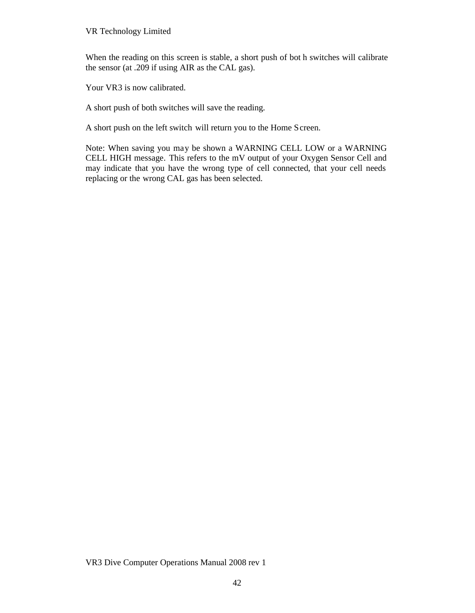When the reading on this screen is stable, a short push of bot h switches will calibrate the sensor (at .209 if using AIR as the CAL gas).

Your VR3 is now calibrated.

A short push of both switches will save the reading.

A short push on the left switch will return you to the Home Screen.

Note: When saving you may be shown a WARNING CELL LOW or a WARNING CELL HIGH message. This refers to the mV output of your Oxygen Sensor Cell and may indicate that you have the wrong type of cell connected, that your cell needs replacing or the wrong CAL gas has been selected.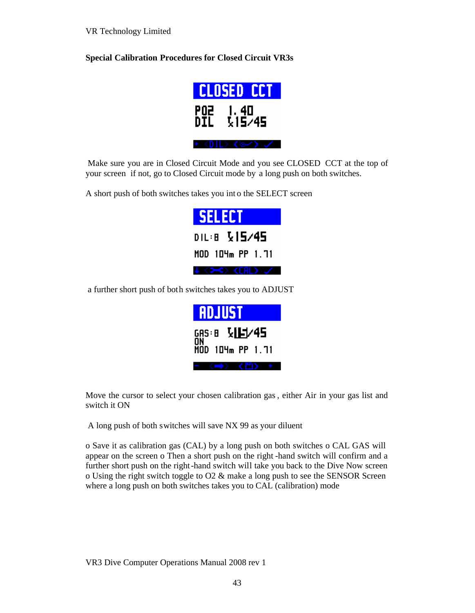**Special Calibration Procedures for Closed Circuit VR3s**



Make sure you are in Closed Circuit Mode and you see CLOSED CCT at the top of your screen if not, go to Closed Circuit mode by a long push on both switches.

A short push of both switches takes you int o the SELECT screen



a further short push of both switches takes you to ADJUST

| <b>ADJUST</b>          |  |  |  |
|------------------------|--|--|--|
| GAS:8 《IF】/45          |  |  |  |
| ŌÑ<br>MOD 104m PP 1.71 |  |  |  |
|                        |  |  |  |

Move the cursor to select your chosen calibration gas , either Air in your gas list and switch it ON

A long push of both switches will save NX 99 as your diluent

o Save it as calibration gas (CAL) by a long push on both switches o CAL GAS will appear on the screen o Then a short push on the right -hand switch will confirm and a further short push on the right-hand switch will take you back to the Dive Now screen o Using the right switch toggle to  $O2 \&$  make a long push to see the SENSOR Screen where a long push on both switches takes you to CAL (calibration) mode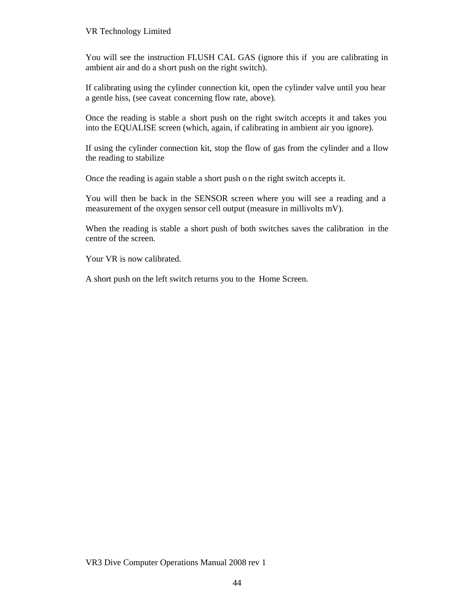You will see the instruction FLUSH CAL GAS (ignore this if you are calibrating in ambient air and do a short push on the right switch).

If calibrating using the cylinder connection kit, open the cylinder valve until you hear a gentle hiss, (see caveat concerning flow rate, above).

Once the reading is stable a short push on the right switch accepts it and takes you into the EQUALISE screen (which, again, if calibrating in ambient air you ignore).

If using the cylinder connection kit, stop the flow of gas from the cylinder and a llow the reading to stabilize

Once the reading is again stable a short push o n the right switch accepts it.

You will then be back in the SENSOR screen where you will see a reading and a measurement of the oxygen sensor cell output (measure in millivolts mV).

When the reading is stable a short push of both switches saves the calibration in the centre of the screen.

Your VR is now calibrated.

A short push on the left switch returns you to the Home Screen.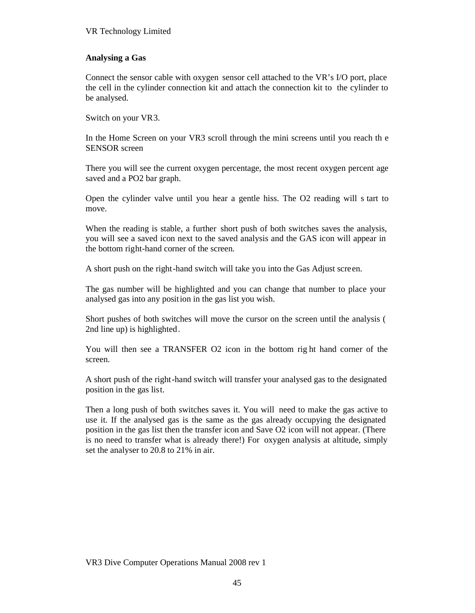### **Analysing a Gas**

Connect the sensor cable with oxygen sensor cell attached to the VR's I/O port, place the cell in the cylinder connection kit and attach the connection kit to the cylinder to be analysed.

Switch on your VR3.

In the Home Screen on your VR3 scroll through the mini screens until you reach th e SENSOR screen

There you will see the current oxygen percentage, the most recent oxygen percent age saved and a PO2 bar graph.

Open the cylinder valve until you hear a gentle hiss. The O2 reading will s tart to move.

When the reading is stable, a further short push of both switches saves the analysis, you will see a saved icon next to the saved analysis and the GAS icon will appear in the bottom right-hand corner of the screen.

A short push on the right-hand switch will take you into the Gas Adjust screen.

The gas number will be highlighted and you can change that number to place your analysed gas into any position in the gas list you wish.

Short pushes of both switches will move the cursor on the screen until the analysis ( 2nd line up) is highlighted.

You will then see a TRANSFER O2 icon in the bottom rig ht hand corner of the screen.

A short push of the right-hand switch will transfer your analysed gas to the designated position in the gas list.

Then a long push of both switches saves it. You will need to make the gas active to use it. If the analysed gas is the same as the gas already occupying the designated position in the gas list then the transfer icon and Save O2 icon will not appear. (There is no need to transfer what is already there!) For oxygen analysis at altitude, simply set the analyser to 20.8 to 21% in air.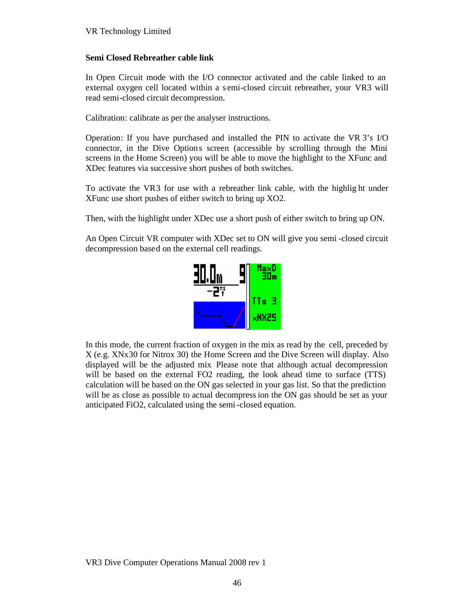### **Semi Closed Rebreather cable link**

In Open Circuit mode with the I/O connector activated and the cable linked to an external oxygen cell located within a s emi-closed circuit rebreather, your VR3 will read semi-closed circuit decompression.

Calibration: calibrate as per the analyser instructions.

Operation: If you have purchased and installed the PIN to activate the VR 3's I/O connector, in the Dive Options screen (accessible by scrolling through the Mini screens in the Home Screen) you will be able to move the highlight to the XFunc and XDec features via successive short pushes of both switches.

To activate the VR3 for use with a rebreather link cable, with the highlig ht under XFunc use short pushes of either switch to bring up XO2.

Then, with the highlight under XDec use a short push of either switch to bring up ON.

An Open Circuit VR computer with XDec set to ON will give you semi -closed circuit decompression based on the external cell readings.



In this mode, the current fraction of oxygen in the mix as read by the cell, preceded by X (e.g. XNx30 for Nitrox 30) the Home Screen and the Dive Screen will display. Also displayed will be the adjusted mix Please note that although actual decompression will be based on the external FO2 reading, the look ahead time to surface (TTS) calculation will be based on the ON gas selected in your gas list. So that the prediction will be as close as possible to actual decompression the ON gas should be set as your anticipated FiO2, calculated using the semi-closed equation.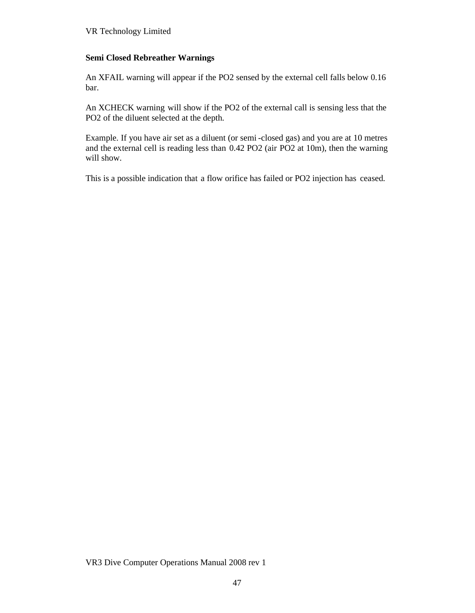### **Semi Closed Rebreather Warnings**

An XFAIL warning will appear if the PO2 sensed by the external cell falls below 0.16 bar.

An XCHECK warning will show if the PO2 of the external call is sensing less that the PO2 of the diluent selected at the depth.

Example. If you have air set as a diluent (or semi -closed gas) and you are at 10 metres and the external cell is reading less than 0.42 PO2 (air PO2 at 10m), then the warning will show.

This is a possible indication that a flow orifice has failed or PO2 injection has ceased.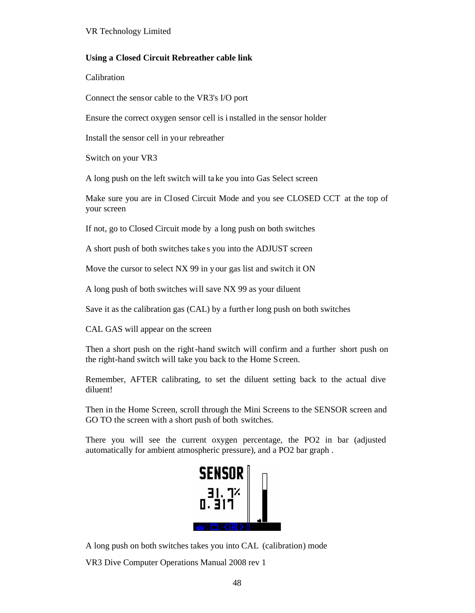### **Using a Closed Circuit Rebreather cable link**

Calibration

Connect the sensor cable to the VR3's I/O port

Ensure the correct oxygen sensor cell is i nstalled in the sensor holder

Install the sensor cell in your rebreather

Switch on your VR3

A long push on the left switch will ta ke you into Gas Select screen

Make sure you are in Closed Circuit Mode and you see CLOSED CCT at the top of your screen

If not, go to Closed Circuit mode by a long push on both switches

A short push of both switches take s you into the ADJUST screen

Move the cursor to select NX 99 in your gas list and switch it ON

A long push of both switches will save NX 99 as your diluent

Save it as the calibration gas (CAL) by a furth er long push on both switches

CAL GAS will appear on the screen

Then a short push on the right-hand switch will confirm and a further short push on the right-hand switch will take you back to the Home Screen.

Remember, AFTER calibrating, to set the diluent setting back to the actual dive diluent!

Then in the Home Screen, scroll through the Mini Screens to the SENSOR screen and GO TO the screen with a short push of both switches.

There you will see the current oxygen percentage, the PO2 in bar (adjusted automatically for ambient atmospheric pressure), and a PO2 bar graph .



A long push on both switches takes you into CAL (calibration) mode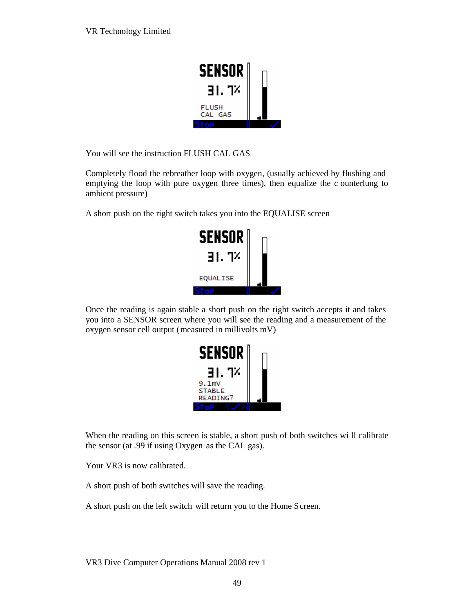

You will see the instruction FLUSH CAL GAS

Completely flood the rebreather loop with oxygen, (usually achieved by flushing and emptying the loop with pure oxygen three times), then equalize the c ounterlung to ambient pressure)

A short push on the right switch takes you into the EQUALISE screen



Once the reading is again stable a short push on the right switch accepts it and takes you into a SENSOR screen where you will see the reading and a measurement of the oxygen sensor cell output (measured in millivolts mV)



When the reading on this screen is stable, a short push of both switches wi ll calibrate the sensor (at .99 if using Oxygen as the CAL gas).

Your VR3 is now calibrated.

A short push of both switches will save the reading.

A short push on the left switch will return you to the Home Screen.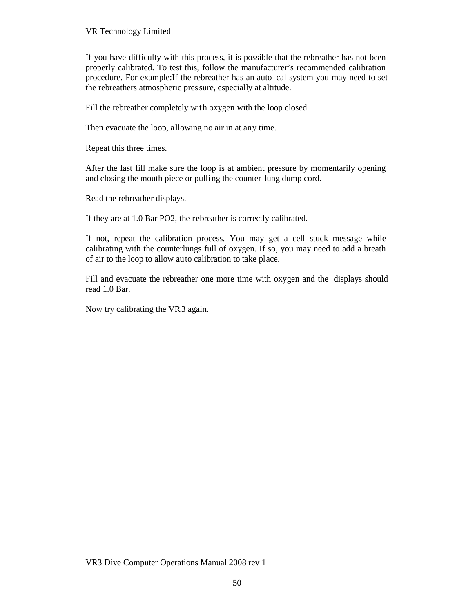If you have difficulty with this process, it is possible that the rebreather has not been properly calibrated. To test this, follow the manufacturer's recommended calibration procedure. For example:If the rebreather has an auto -cal system you may need to set the rebreathers atmospheric pressure, especially at altitude.

Fill the rebreather completely with oxygen with the loop closed.

Then evacuate the loop, allowing no air in at any time.

Repeat this three times.

After the last fill make sure the loop is at ambient pressure by momentarily opening and closing the mouth piece or pulli ng the counter-lung dump cord.

Read the rebreather displays.

If they are at 1.0 Bar PO2, the rebreather is correctly calibrated.

If not, repeat the calibration process. You may get a cell stuck message while calibrating with the counterlungs full of oxygen. If so, you may need to add a breath of air to the loop to allow auto calibration to take place.

Fill and evacuate the rebreather one more time with oxygen and the displays should read 1.0 Bar.

Now try calibrating the VR3 again.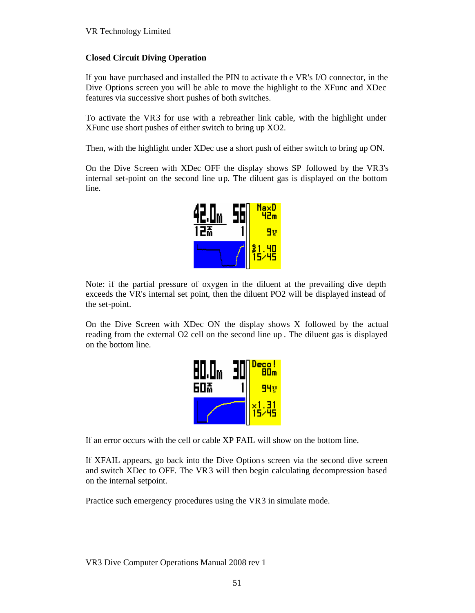## **Closed Circuit Diving Operation**

If you have purchased and installed the PIN to activate th e VR's I/O connector, in the Dive Options screen you will be able to move the highlight to the XFunc and XDec features via successive short pushes of both switches.

To activate the VR3 for use with a rebreather link cable, with the highlight under XFunc use short pushes of either switch to bring up XO2.

Then, with the highlight under XDec use a short push of either switch to bring up ON.

On the Dive Screen with XDec OFF the display shows SP followed by the VR3's internal set-point on the second line up. The diluent gas is displayed on the bottom line.



Note: if the partial pressure of oxygen in the diluent at the prevailing dive depth exceeds the VR's internal set point, then the diluent PO2 will be displayed instead of the set-point.

On the Dive Screen with XDec ON the display shows X followed by the actual reading from the external O2 cell on the second line up . The diluent gas is displayed on the bottom line.

| E<br>H | Deco!<br>AOm |
|--------|--------------|
| 607    | 94v          |
|        | 냆            |

If an error occurs with the cell or cable XP FAIL will show on the bottom line.

If XFAIL appears, go back into the Dive Option s screen via the second dive screen and switch XDec to OFF. The VR3 will then begin calculating decompression based on the internal setpoint.

Practice such emergency procedures using the VR3 in simulate mode.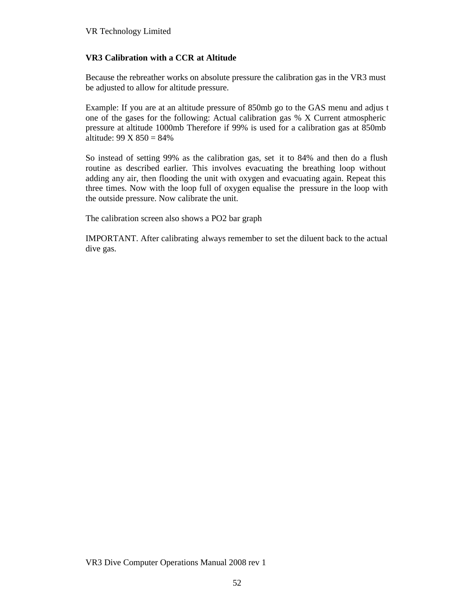# **VR3 Calibration with a CCR at Altitude**

Because the rebreather works on absolute pressure the calibration gas in the VR3 must be adjusted to allow for altitude pressure.

Example: If you are at an altitude pressure of 850mb go to the GAS menu and adjus t one of the gases for the following: Actual calibration gas % X Current atmospheric pressure at altitude 1000mb Therefore if 99% is used for a calibration gas at 850mb altitude:  $99 \text{ X } 850 = 84\%$ 

So instead of setting 99% as the calibration gas, set it to 84% and then do a flush routine as described earlier. This involves evacuating the breathing loop without adding any air, then flooding the unit with oxygen and evacuating again. Repeat this three times. Now with the loop full of oxygen equalise the pressure in the loop with the outside pressure. Now calibrate the unit.

The calibration screen also shows a PO2 bar graph

IMPORTANT. After calibrating always remember to set the diluent back to the actual dive gas.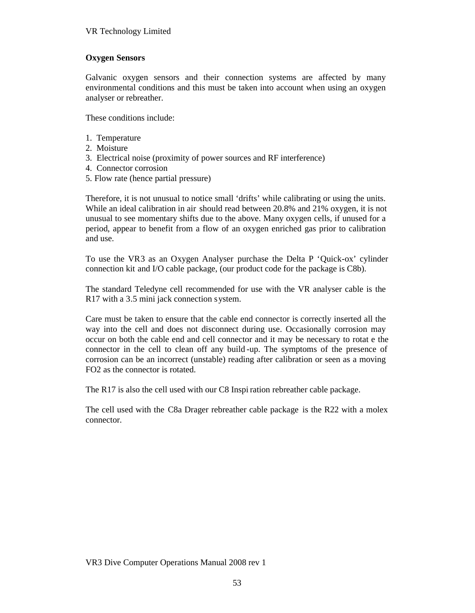### **Oxygen Sensors**

Galvanic oxygen sensors and their connection systems are affected by many environmental conditions and this must be taken into account when using an oxygen analyser or rebreather.

These conditions include:

- 1. Temperature
- 2. Moisture
- 3. Electrical noise (proximity of power sources and RF interference)
- 4. Connector corrosion
- 5. Flow rate (hence partial pressure)

Therefore, it is not unusual to notice small 'drifts' while calibrating or using the units. While an ideal calibration in air should read between 20.8% and 21% oxygen, it is not unusual to see momentary shifts due to the above. Many oxygen cells, if unused for a period, appear to benefit from a flow of an oxygen enriched gas prior to calibration and use.

To use the VR3 as an Oxygen Analyser purchase the Delta P 'Quick-ox' cylinder connection kit and I/O cable package, (our product code for the package is C8b).

The standard Teledyne cell recommended for use with the VR analyser cable is the R17 with a 3.5 mini jack connection system.

Care must be taken to ensure that the cable end connector is correctly inserted all the way into the cell and does not disconnect during use. Occasionally corrosion may occur on both the cable end and cell connector and it may be necessary to rotat e the connector in the cell to clean off any build -up. The symptoms of the presence of corrosion can be an incorrect (unstable) reading after calibration or seen as a moving FO2 as the connector is rotated.

The R17 is also the cell used with our C8 Inspi ration rebreather cable package.

The cell used with the C8a Drager rebreather cable package is the R22 with a molex connector.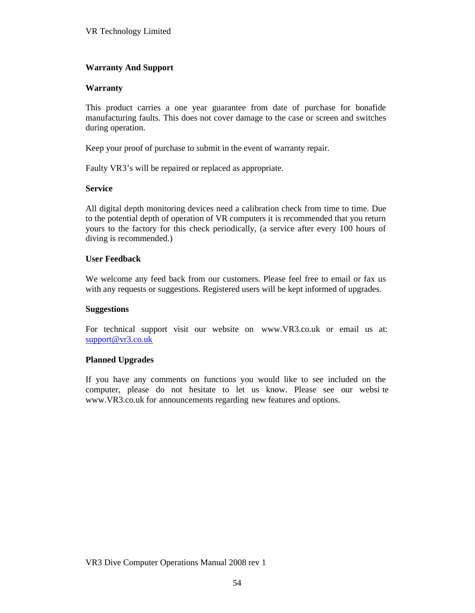## **Warranty And Support**

### **Warranty**

This product carries a one year guarantee from date of purchase for bonafide manufacturing faults. This does not cover damage to the case or screen and switches during operation.

Keep your proof of purchase to submit in the event of warranty repair.

Faulty VR3's will be repaired or replaced as appropriate.

### **Service**

All digital depth monitoring devices need a calibration check from time to time. Due to the potential depth of operation of VR computers it is recommended that you return yours to the factory for this check periodically, (a service after every 100 hours of diving is recommended.)

### **User Feedback**

We welcome any feed back from our customers. Please feel free to email or fax us with any requests or suggestions. Registered users will be kept informed of upgrades.

#### **Suggestions**

For technical support visit our website on www.VR3.co.uk or email us at: support@vr3.co.uk

### **Planned Upgrades**

If you have any comments on functions you would like to see included on the computer, please do not hesitate to let us know. Please see our websi te www.VR3.co.uk for [announcements re](www.VR3.co.uk)garding new features and options.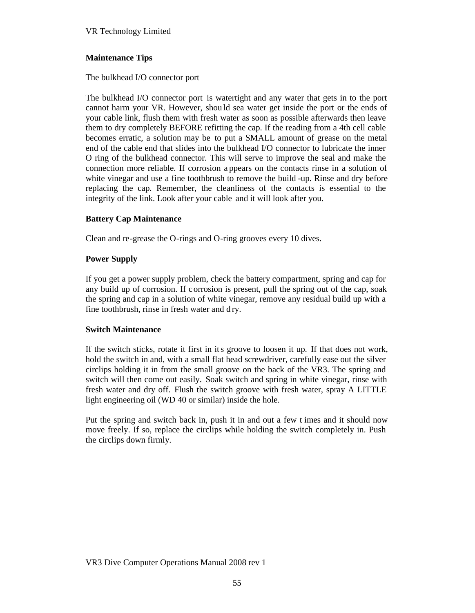## **Maintenance Tips**

The bulkhead I/O connector port

The bulkhead I/O connector port is watertight and any water that gets in to the port cannot harm your VR. However, shou ld sea water get inside the port or the ends of your cable link, flush them with fresh water as soon as possible afterwards then leave them to dry completely BEFORE refitting the cap. If the reading from a 4th cell cable becomes erratic, a solution may be to put a SMALL amount of grease on the metal end of the cable end that slides into the bulkhead I/O connector to lubricate the inner O ring of the bulkhead connector. This will serve to improve the seal and make the connection more reliable. If corrosion a ppears on the contacts rinse in a solution of white vinegar and use a fine toothbrush to remove the build -up. Rinse and dry before replacing the cap. Remember, the cleanliness of the contacts is essential to the integrity of the link. Look after your cable and it will look after you.

## **Battery Cap Maintenance**

Clean and re-grease the O-rings and O-ring grooves every 10 dives.

### **Power Supply**

If you get a power supply problem, check the battery compartment, spring and cap for any build up of corrosion. If c orrosion is present, pull the spring out of the cap, soak the spring and cap in a solution of white vinegar, remove any residual build up with a fine toothbrush, rinse in fresh water and d ry.

### **Switch Maintenance**

If the switch sticks, rotate it first in its groove to loosen it up. If that does not work, hold the switch in and, with a small flat head screwdriver, carefully ease out the silver circlips holding it in from the small groove on the back of the VR3. The spring and switch will then come out easily. Soak switch and spring in white vinegar, rinse with fresh water and dry off. Flush the switch groove with fresh water, spray A LITTLE light engineering oil (WD 40 or similar) inside the hole.

Put the spring and switch back in, push it in and out a few t imes and it should now move freely. If so, replace the circlips while holding the switch completely in. Push the circlips down firmly.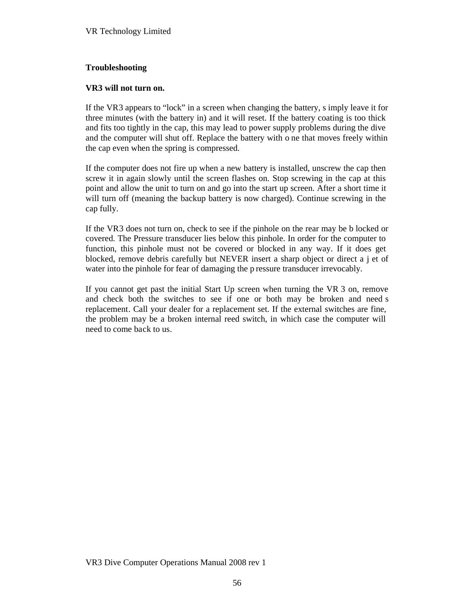### **Troubleshooting**

### **VR3 will not turn on.**

If the VR3 appears to "lock" in a screen when changing the battery, s imply leave it for three minutes (with the battery in) and it will reset. If the battery coating is too thick and fits too tightly in the cap, this may lead to power supply problems during the dive and the computer will shut off. Replace the battery with o ne that moves freely within the cap even when the spring is compressed.

If the computer does not fire up when a new battery is installed, unscrew the cap then screw it in again slowly until the screen flashes on. Stop screwing in the cap at this point and allow the unit to turn on and go into the start up screen. After a short time it will turn off (meaning the backup battery is now charged). Continue screwing in the cap fully.

If the VR3 does not turn on, check to see if the pinhole on the rear may be b locked or covered. The Pressure transducer lies below this pinhole. In order for the computer to function, this pinhole must not be covered or blocked in any way. If it does get blocked, remove debris carefully but NEVER insert a sharp object or direct a j et of water into the pinhole for fear of damaging the p ressure transducer irrevocably.

If you cannot get past the initial Start Up screen when turning the VR 3 on, remove and check both the switches to see if one or both may be broken and need s replacement. Call your dealer for a replacement set. If the external switches are fine, the problem may be a broken internal reed switch, in which case the computer will need to come back to us.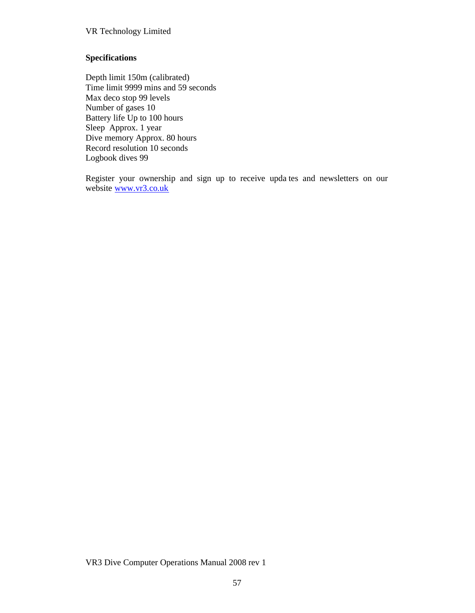### **Specifications**

Depth limit 150m (calibrated) Time limit 9999 mins and 59 seconds Max deco stop 99 levels Number of gases 10 Battery life Up to 100 hours Sleep Approx. 1 year Dive memory Approx. 80 hours Record resolution 10 seconds Logbook dives 99

Register your ownership and sign up to receive upda tes and newsletters on our website www.vr[3.co.uk](www.vr3.co.uk)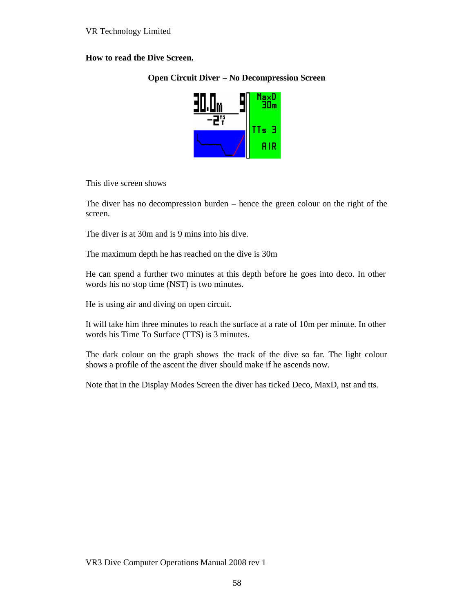## **How to read the Dive Screen.**

### **Open Circuit Diver – No Decompression Screen**



This dive screen shows

The diver has no decompression burden – hence the green colour on the right of the screen.

The diver is at 30m and is 9 mins into his dive.

The maximum depth he has reached on the dive is 30m

He can spend a further two minutes at this depth before he goes into deco. In other words his no stop time (NST) is two minutes.

He is using air and diving on open circuit.

It will take him three minutes to reach the surface at a rate of 10m per minute. In other words his Time To Surface (TTS) is 3 minutes.

The dark colour on the graph shows the track of the dive so far. The light colour shows a profile of the ascent the diver should make if he ascends now.

Note that in the Display Modes Screen the diver has ticked Deco, MaxD, nst and tts.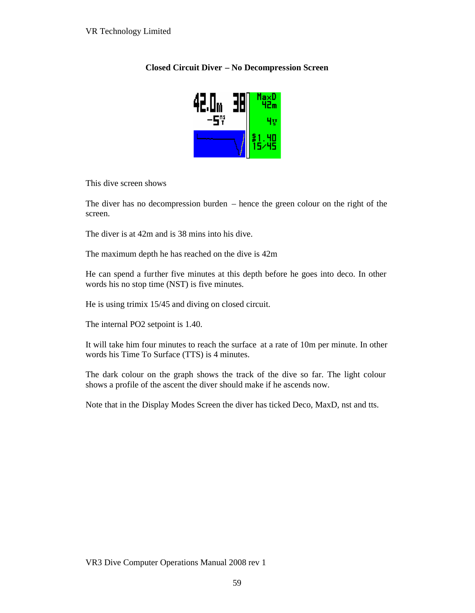### **Closed Circuit Diver – No Decompression Screen**



This dive screen shows

The diver has no decompression burden – hence the green colour on the right of the screen.

The diver is at 42m and is 38 mins into his dive.

The maximum depth he has reached on the dive is 42m

He can spend a further five minutes at this depth before he goes into deco. In other words his no stop time (NST) is five minutes.

He is using trimix 15/45 and diving on closed circuit.

The internal PO2 setpoint is 1.40.

It will take him four minutes to reach the surface at a rate of 10m per minute. In other words his Time To Surface (TTS) is 4 minutes.

The dark colour on the graph shows the track of the dive so far. The light colour shows a profile of the ascent the diver should make if he ascends now.

Note that in the Display Modes Screen the diver has ticked Deco, MaxD, nst and tts.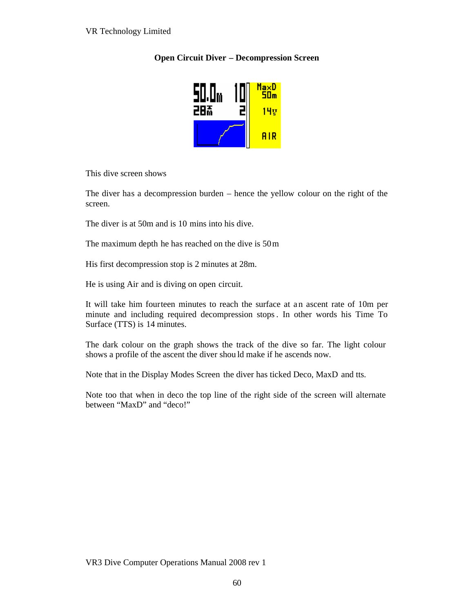# **Open Circuit Diver – Decompression Screen**



This dive screen shows

The diver has a decompression burden – hence the yellow colour on the right of the screen.

The diver is at 50m and is 10 mins into his dive.

The maximum depth he has reached on the dive is 50m

His first decompression stop is 2 minutes at 28m.

He is using Air and is diving on open circuit.

It will take him fourteen minutes to reach the surface at an ascent rate of 10m per minute and including required decompression stops. In other words his Time To Surface (TTS) is 14 minutes.

The dark colour on the graph shows the track of the dive so far. The light colour shows a profile of the ascent the diver shou ld make if he ascends now.

Note that in the Display Modes Screen the diver has ticked Deco, MaxD and tts.

Note too that when in deco the top line of the right side of the screen will alternate between "MaxD" and "deco!"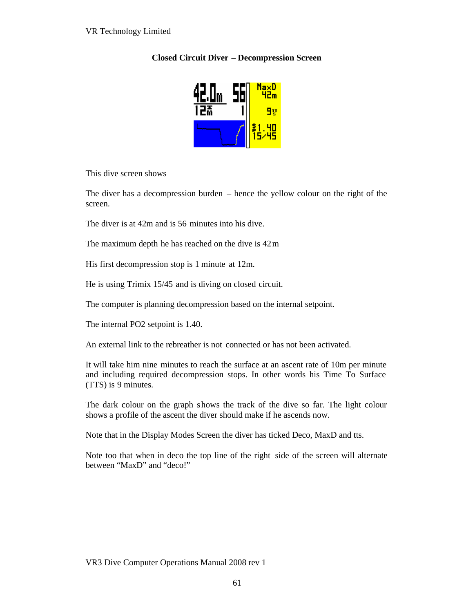## **Closed Circuit Diver – Decompression Screen**



This dive screen shows

The diver has a decompression burden – hence the yellow colour on the right of the screen.

The diver is at 42m and is 56 minutes into his dive.

The maximum depth he has reached on the dive is 42m

His first decompression stop is 1 minute at 12m.

He is using Trimix 15/45 and is diving on closed circuit.

The computer is planning decompression based on the internal setpoint.

The internal PO2 setpoint is 1.40.

An external link to the rebreather is not connected or has not been activated.

It will take him nine minutes to reach the surface at an ascent rate of 10m per minute and including required decompression stops. In other words his Time To Surface (TTS) is 9 minutes.

The dark colour on the graph s hows the track of the dive so far. The light colour shows a profile of the ascent the diver should make if he ascends now.

Note that in the Display Modes Screen the diver has ticked Deco, MaxD and tts.

Note too that when in deco the top line of the right side of the screen will alternate between "MaxD" and "deco!"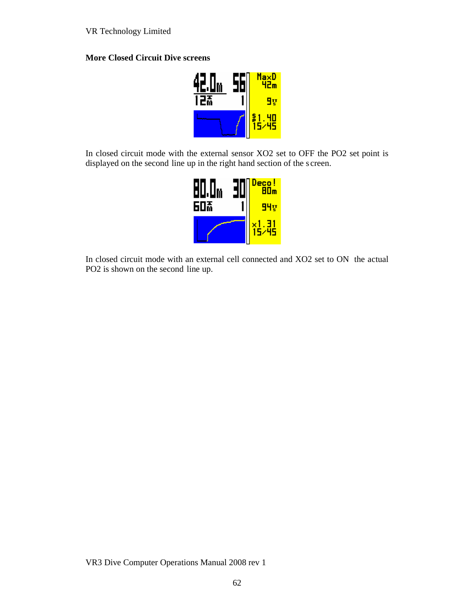## **More Closed Circuit Dive screens**



In closed circuit mode with the external sensor XO2 set to OFF the PO2 set point is displayed on the second line up in the right hand section of the s creen.



In closed circuit mode with an external cell connected and XO2 set to ON the actual PO2 is shown on the second line up.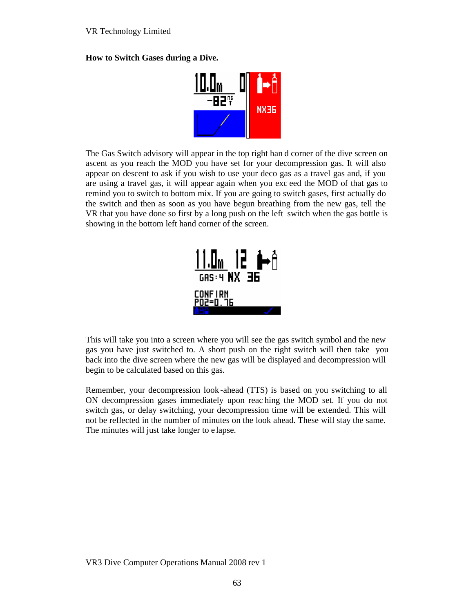**How to Switch Gases during a Dive.**



The Gas Switch advisory will appear in the top right han d corner of the dive screen on ascent as you reach the MOD you have set for your decompression gas. It will also appear on descent to ask if you wish to use your deco gas as a travel gas and, if you are using a travel gas, it will appear again when you exc eed the MOD of that gas to remind you to switch to bottom mix. If you are going to switch gases, first actually do the switch and then as soon as you have begun breathing from the new gas, tell the VR that you have done so first by a long push on the left switch when the gas bottle is showing in the bottom left hand corner of the screen.



This will take you into a screen where you will see the gas switch symbol and the new gas you have just switched to. A short push on the right switch will then take you back into the dive screen where the new gas will be displayed and decompression will begin to be calculated based on this gas.

Remember, your decompression look -ahead (TTS) is based on you switching to all ON decompression gases immediately upon reac hing the MOD set. If you do not switch gas, or delay switching, your decompression time will be extended. This will not be reflected in the number of minutes on the look ahead. These will stay the same. The minutes will just take longer to e lapse.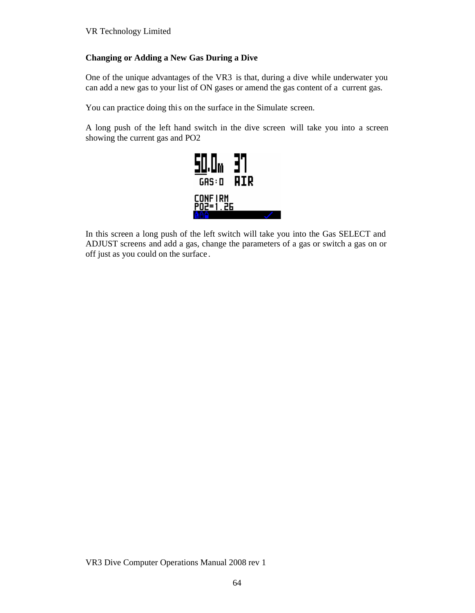## **Changing or Adding a New Gas During a Dive**

One of the unique advantages of the VR3 is that, during a dive while underwater you can add a new gas to your list of ON gases or amend the gas content of a current gas.

You can practice doing this on the surface in the Simulate screen.

A long push of the left hand switch in the dive screen will take you into a screen showing the current gas and PO2



In this screen a long push of the left switch will take you into the Gas SELECT and ADJUST screens and add a gas, change the parameters of a gas or switch a gas on or off just as you could on the surface .